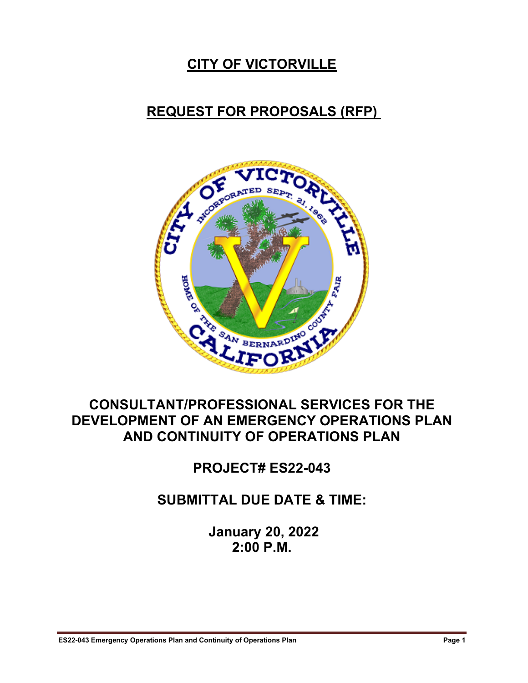### **CITY OF VICTORVILLE**

#### **REQUEST FOR PROPOSALS (RFP)**



#### **CONSULTANT/PROFESSIONAL SERVICES FOR THE DEVELOPMENT OF AN EMERGENCY OPERATIONS PLAN AND CONTINUITY OF OPERATIONS PLAN**

**PROJECT# ES22-043**

**SUBMITTAL DUE DATE & TIME:**

**January 20, 2022 2:00 P.M.**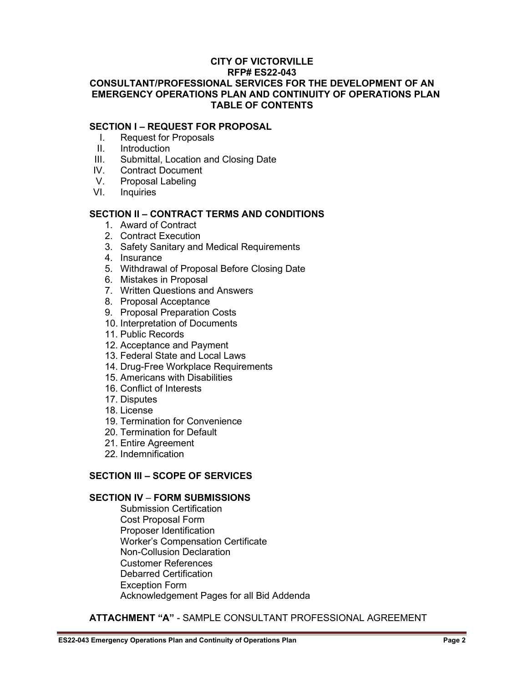#### **SECTION I – REQUEST FOR PROPOSAL**

- I. Request for Proposals
- II. Introduction
- III. Submittal, Location and Closing Date
- IV. Contract Document
- V. Proposal Labeling
- VI. Inquiries

#### **SECTION II – CONTRACT TERMS AND CONDITIONS**

- 1. Award of Contract
- 2. Contract Execution
- 3. Safety Sanitary and Medical Requirements
- 4. Insurance
- 5. Withdrawal of Proposal Before Closing Date
- 6. Mistakes in Proposal
- 7. Written Questions and Answers
- 8. Proposal Acceptance
- 9. Proposal Preparation Costs
- 10. Interpretation of Documents
- 11. Public Records
- 12. Acceptance and Payment
- 13. Federal State and Local Laws
- 14. Drug-Free Workplace Requirements
- 15. Americans with Disabilities
- 16. Conflict of Interests
- 17. Disputes
- 18. License
- 19. Termination for Convenience
- 20. Termination for Default
- 21. Entire Agreement
- 22. Indemnification

#### **SECTION III – SCOPE OF SERVICES**

#### **SECTION IV** – **FORM SUBMISSIONS**

Submission Certification Cost Proposal Form Proposer Identification Worker's Compensation Certificate Non-Collusion Declaration Customer References Debarred Certification Exception Form Acknowledgement Pages for all Bid Addenda

#### **ATTACHMENT "A"** - SAMPLE CONSULTANT PROFESSIONAL AGREEMENT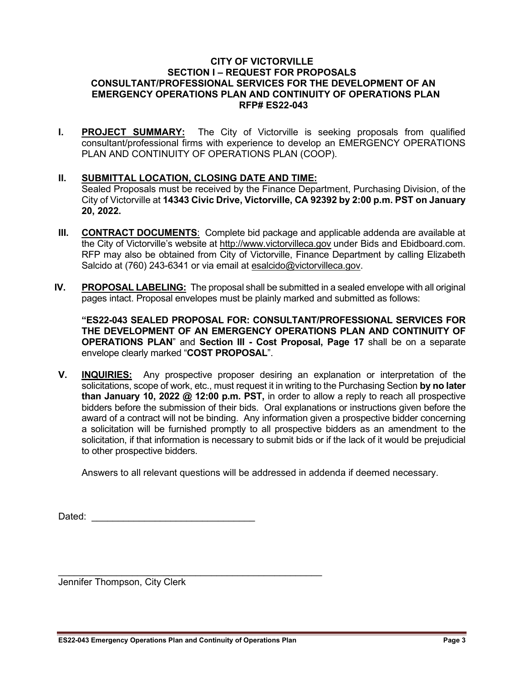#### **CITY OF VICTORVILLE SECTION I – REQUEST FOR PROPOSALS CONSULTANT/PROFESSIONAL SERVICES FOR THE DEVELOPMENT OF AN EMERGENCY OPERATIONS PLAN AND CONTINUITY OF OPERATIONS PLAN RFP# ES22-043**

- **I. PROJECT SUMMARY:** The City of Victorville is seeking proposals from qualified consultant/professional firms with experience to develop an EMERGENCY OPERATIONS PLAN AND CONTINUITY OF OPERATIONS PLAN (COOP).
- **II. SUBMITTAL LOCATION, CLOSING DATE AND TIME:**  Sealed Proposals must be received by the Finance Department, Purchasing Division, of the City of Victorville at **14343 Civic Drive, Victorville, CA 92392 by 2:00 p.m. PST on January 20, 2022.**
- **III. CONTRACT DOCUMENTS**: Complete bid package and applicable addenda are available at the City of Victorville's website at [http://www.victorvilleca.gov](http://www.victorvilleca.gov/) under Bids and Ebidboard.com. RFP may also be obtained from City of Victorville, Finance Department by calling Elizabeth Salcido at (760) 243-6341 or via email at [esalcido@victorvilleca.gov.](mailto:esalcido@victorvilleca.gov)
- **IV. PROPOSAL LABELING:** The proposal shall be submitted in a sealed envelope with all original pages intact. Proposal envelopes must be plainly marked and submitted as follows:

**"ES22-043 SEALED PROPOSAL FOR: CONSULTANT/PROFESSIONAL SERVICES FOR THE DEVELOPMENT OF AN EMERGENCY OPERATIONS PLAN AND CONTINUITY OF OPERATIONS PLAN**" and **Section III - Cost Proposal, Page 17** shall be on a separate envelope clearly marked "**COST PROPOSAL**".

**V. INQUIRIES:** Any prospective proposer desiring an explanation or interpretation of the solicitations, scope of work, etc., must request it in writing to the Purchasing Section **by no later than January 10, 2022 @ 12:00 p.m. PST,** in order to allow a reply to reach all prospective bidders before the submission of their bids. Oral explanations or instructions given before the award of a contract will not be binding. Any information given a prospective bidder concerning a solicitation will be furnished promptly to all prospective bidders as an amendment to the solicitation, if that information is necessary to submit bids or if the lack of it would be prejudicial to other prospective bidders.

Answers to all relevant questions will be addressed in addenda if deemed necessary.

Dated:  $\Box$ 

Jennifer Thompson, City Clerk

\_\_\_\_\_\_\_\_\_\_\_\_\_\_\_\_\_\_\_\_\_\_\_\_\_\_\_\_\_\_\_\_\_\_\_\_\_\_\_\_\_\_\_\_\_\_\_\_\_\_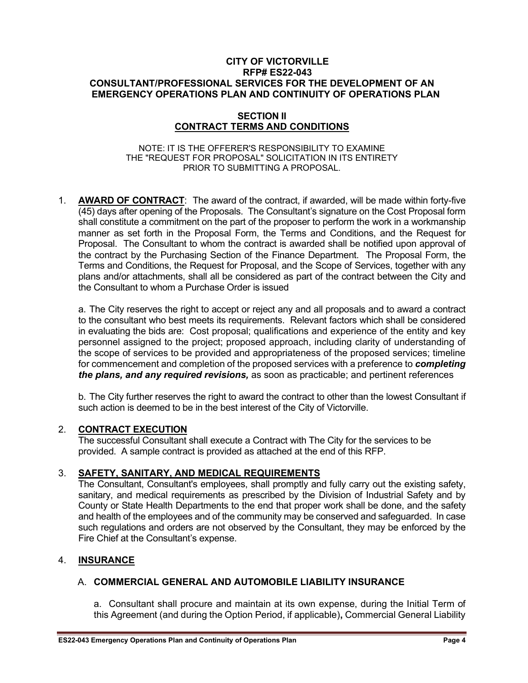#### **SECTION II CONTRACT TERMS AND CONDITIONS**

#### NOTE: IT IS THE OFFERER'S RESPONSIBILITY TO EXAMINE THE "REQUEST FOR PROPOSAL" SOLICITATION IN ITS ENTIRETY PRIOR TO SUBMITTING A PROPOSAL.

1. **AWARD OF CONTRACT**: The award of the contract, if awarded, will be made within forty-five (45) days after opening of the Proposals. The Consultant's signature on the Cost Proposal form shall constitute a commitment on the part of the proposer to perform the work in a workmanship manner as set forth in the Proposal Form, the Terms and Conditions, and the Request for Proposal. The Consultant to whom the contract is awarded shall be notified upon approval of the contract by the Purchasing Section of the Finance Department. The Proposal Form, the Terms and Conditions, the Request for Proposal, and the Scope of Services, together with any plans and/or attachments, shall all be considered as part of the contract between the City and the Consultant to whom a Purchase Order is issued

a. The City reserves the right to accept or reject any and all proposals and to award a contract to the consultant who best meets its requirements. Relevant factors which shall be considered in evaluating the bids are: Cost proposal; qualifications and experience of the entity and key personnel assigned to the project; proposed approach, including clarity of understanding of the scope of services to be provided and appropriateness of the proposed services; timeline for commencement and completion of the proposed services with a preference to *completing the plans, and any required revisions,* as soon as practicable; and pertinent references

b. The City further reserves the right to award the contract to other than the lowest Consultant if such action is deemed to be in the best interest of the City of Victorville.

#### 2. **CONTRACT EXECUTION**

The successful Consultant shall execute a Contract with The City for the services to be provided. A sample contract is provided as attached at the end of this RFP.

#### 3. **SAFETY, SANITARY, AND MEDICAL REQUIREMENTS**

The Consultant, Consultant's employees, shall promptly and fully carry out the existing safety, sanitary, and medical requirements as prescribed by the Division of Industrial Safety and by County or State Health Departments to the end that proper work shall be done, and the safety and health of the employees and of the community may be conserved and safeguarded. In case such regulations and orders are not observed by the Consultant, they may be enforced by the Fire Chief at the Consultant's expense.

#### 4. **INSURANCE**

#### A. **COMMERCIAL GENERAL AND AUTOMOBILE LIABILITY INSURANCE**

a. Consultant shall procure and maintain at its own expense, during the Initial Term of this Agreement (and during the Option Period, if applicable)**,** Commercial General Liability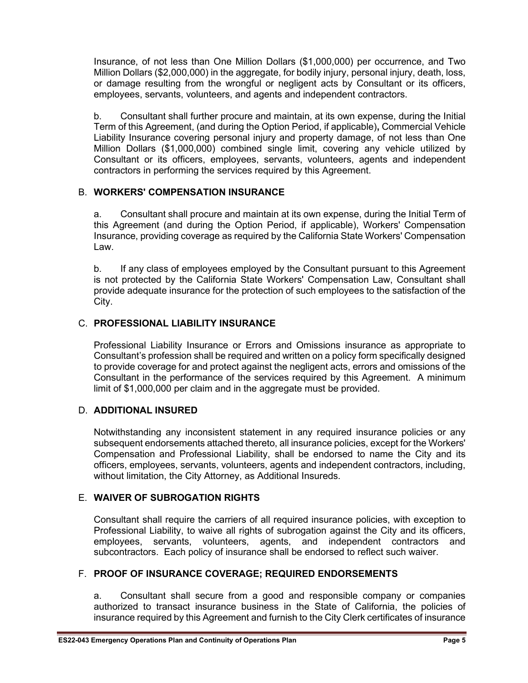Insurance, of not less than One Million Dollars (\$1,000,000) per occurrence, and Two Million Dollars (\$2,000,000) in the aggregate, for bodily injury, personal injury, death, loss, or damage resulting from the wrongful or negligent acts by Consultant or its officers, employees, servants, volunteers, and agents and independent contractors.

b. Consultant shall further procure and maintain, at its own expense, during the Initial Term of this Agreement, (and during the Option Period, if applicable)**,** Commercial Vehicle Liability Insurance covering personal injury and property damage, of not less than One Million Dollars (\$1,000,000) combined single limit, covering any vehicle utilized by Consultant or its officers, employees, servants, volunteers, agents and independent contractors in performing the services required by this Agreement.

#### B. **WORKERS' COMPENSATION INSURANCE**

a. Consultant shall procure and maintain at its own expense, during the Initial Term of this Agreement (and during the Option Period, if applicable), Workers' Compensation Insurance, providing coverage as required by the California State Workers' Compensation Law.

b. If any class of employees employed by the Consultant pursuant to this Agreement is not protected by the California State Workers' Compensation Law, Consultant shall provide adequate insurance for the protection of such employees to the satisfaction of the City.

#### C. **PROFESSIONAL LIABILITY INSURANCE**

Professional Liability Insurance or Errors and Omissions insurance as appropriate to Consultant's profession shall be required and written on a policy form specifically designed to provide coverage for and protect against the negligent acts, errors and omissions of the Consultant in the performance of the services required by this Agreement. A minimum limit of \$1,000,000 per claim and in the aggregate must be provided.

#### D. **ADDITIONAL INSURED**

Notwithstanding any inconsistent statement in any required insurance policies or any subsequent endorsements attached thereto, all insurance policies, except for the Workers' Compensation and Professional Liability, shall be endorsed to name the City and its officers, employees, servants, volunteers, agents and independent contractors, including, without limitation, the City Attorney, as Additional Insureds.

#### E. **WAIVER OF SUBROGATION RIGHTS**

Consultant shall require the carriers of all required insurance policies, with exception to Professional Liability, to waive all rights of subrogation against the City and its officers, employees, servants, volunteers, agents, and independent contractors and subcontractors. Each policy of insurance shall be endorsed to reflect such waiver.

#### F. **PROOF OF INSURANCE COVERAGE; REQUIRED ENDORSEMENTS**

a. Consultant shall secure from a good and responsible company or companies authorized to transact insurance business in the State of California, the policies of insurance required by this Agreement and furnish to the City Clerk certificates of insurance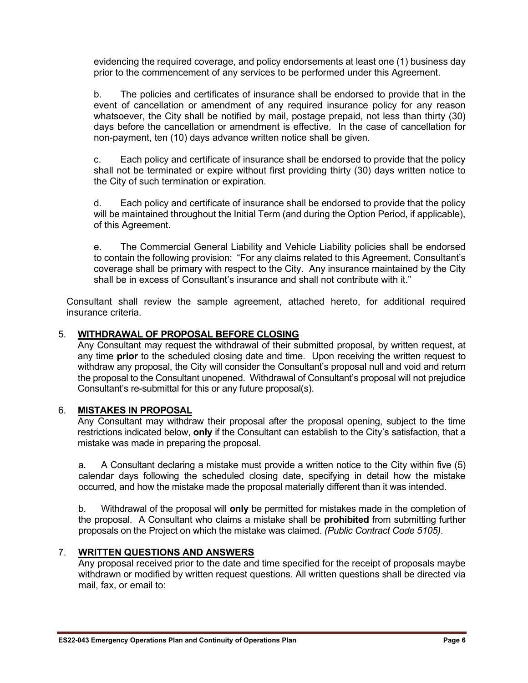evidencing the required coverage, and policy endorsements at least one (1) business day prior to the commencement of any services to be performed under this Agreement.

b. The policies and certificates of insurance shall be endorsed to provide that in the event of cancellation or amendment of any required insurance policy for any reason whatsoever, the City shall be notified by mail, postage prepaid, not less than thirty (30) days before the cancellation or amendment is effective. In the case of cancellation for non-payment, ten (10) days advance written notice shall be given.

c. Each policy and certificate of insurance shall be endorsed to provide that the policy shall not be terminated or expire without first providing thirty (30) days written notice to the City of such termination or expiration.

d. Each policy and certificate of insurance shall be endorsed to provide that the policy will be maintained throughout the Initial Term (and during the Option Period, if applicable), of this Agreement.

e. The Commercial General Liability and Vehicle Liability policies shall be endorsed to contain the following provision: "For any claims related to this Agreement, Consultant's coverage shall be primary with respect to the City. Any insurance maintained by the City shall be in excess of Consultant's insurance and shall not contribute with it."

Consultant shall review the sample agreement, attached hereto, for additional required insurance criteria.

#### 5. **WITHDRAWAL OF PROPOSAL BEFORE CLOSING**

Any Consultant may request the withdrawal of their submitted proposal, by written request, at any time **prior** to the scheduled closing date and time. Upon receiving the written request to withdraw any proposal, the City will consider the Consultant's proposal null and void and return the proposal to the Consultant unopened. Withdrawal of Consultant's proposal will not prejudice Consultant's re-submittal for this or any future proposal(s).

#### 6. **MISTAKES IN PROPOSAL**

Any Consultant may withdraw their proposal after the proposal opening, subject to the time restrictions indicated below, **only** if the Consultant can establish to the City's satisfaction, that a mistake was made in preparing the proposal.

a. A Consultant declaring a mistake must provide a written notice to the City within five (5) calendar days following the scheduled closing date, specifying in detail how the mistake occurred, and how the mistake made the proposal materially different than it was intended.

b. Withdrawal of the proposal will **only** be permitted for mistakes made in the completion of the proposal. A Consultant who claims a mistake shall be **prohibited** from submitting further proposals on the Project on which the mistake was claimed. *(Public Contract Code 5105)*.

#### 7. **WRITTEN QUESTIONS AND ANSWERS**

Any proposal received prior to the date and time specified for the receipt of proposals maybe withdrawn or modified by written request questions. All written questions shall be directed via mail, fax, or email to: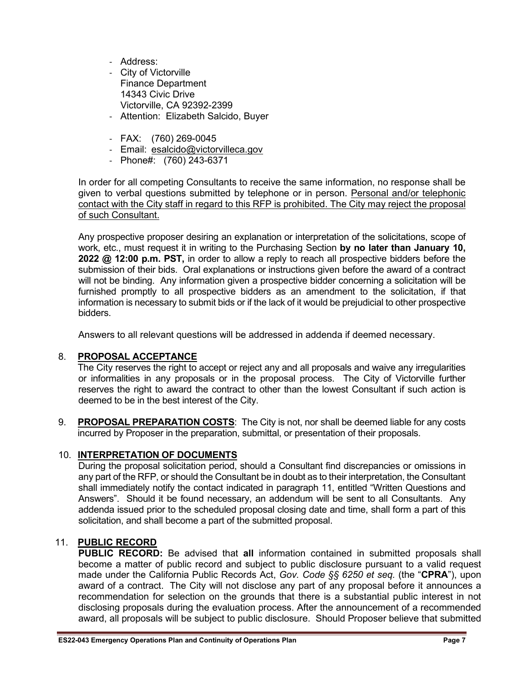- Address:
- City of Victorville Finance Department 14343 Civic Drive Victorville, CA 92392-2399
- Attention: Elizabeth Salcido, Buyer
- FAX: (760) 269-0045
- Email: [esalcido@victorvilleca.gov](mailto:esalcido@victorvilleca.gov)
- Phone#: (760) 243-6371

In order for all competing Consultants to receive the same information, no response shall be given to verbal questions submitted by telephone or in person. Personal and/or telephonic contact with the City staff in regard to this RFP is prohibited. The City may reject the proposal of such Consultant.

Any prospective proposer desiring an explanation or interpretation of the solicitations, scope of work, etc., must request it in writing to the Purchasing Section **by no later than January 10, 2022 @ 12:00 p.m. PST,** in order to allow a reply to reach all prospective bidders before the submission of their bids. Oral explanations or instructions given before the award of a contract will not be binding. Any information given a prospective bidder concerning a solicitation will be furnished promptly to all prospective bidders as an amendment to the solicitation, if that information is necessary to submit bids or if the lack of it would be prejudicial to other prospective bidders.

Answers to all relevant questions will be addressed in addenda if deemed necessary.

#### 8. **PROPOSAL ACCEPTANCE**

The City reserves the right to accept or reject any and all proposals and waive any irregularities or informalities in any proposals or in the proposal process. The City of Victorville further reserves the right to award the contract to other than the lowest Consultant if such action is deemed to be in the best interest of the City.

9. **PROPOSAL PREPARATION COSTS**: The City is not, nor shall be deemed liable for any costs incurred by Proposer in the preparation, submittal, or presentation of their proposals.

#### 10. **INTERPRETATION OF DOCUMENTS**

During the proposal solicitation period, should a Consultant find discrepancies or omissions in any part of the RFP, or should the Consultant be in doubt as to their interpretation, the Consultant shall immediately notify the contact indicated in paragraph 11, entitled "Written Questions and Answers". Should it be found necessary, an addendum will be sent to all Consultants. Any addenda issued prior to the scheduled proposal closing date and time, shall form a part of this solicitation, and shall become a part of the submitted proposal.

#### 11. **PUBLIC RECORD**

**PUBLIC RECORD:** Be advised that **all** information contained in submitted proposals shall become a matter of public record and subject to public disclosure pursuant to a valid request made under the California Public Records Act, *Gov. Code §§ 6250 et seq.* (the "**CPRA**"), upon award of a contract. The City will not disclose any part of any proposal before it announces a recommendation for selection on the grounds that there is a substantial public interest in not disclosing proposals during the evaluation process. After the announcement of a recommended award, all proposals will be subject to public disclosure. Should Proposer believe that submitted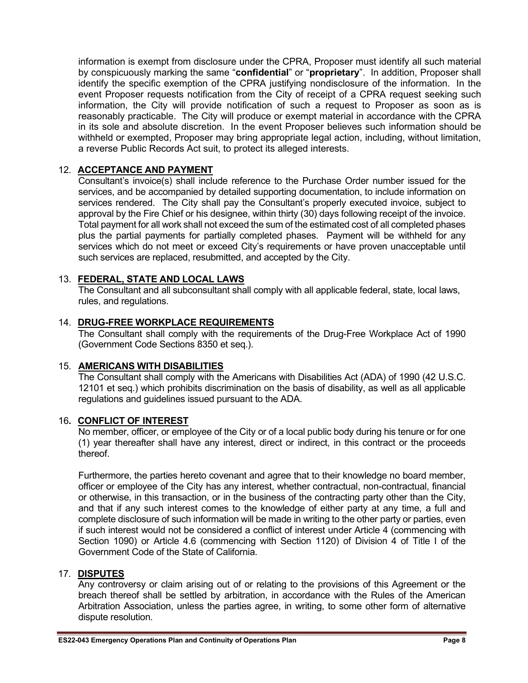information is exempt from disclosure under the CPRA, Proposer must identify all such material by conspicuously marking the same "**confidential**" or "**proprietary**". In addition, Proposer shall identify the specific exemption of the CPRA justifying nondisclosure of the information. In the event Proposer requests notification from the City of receipt of a CPRA request seeking such information, the City will provide notification of such a request to Proposer as soon as is reasonably practicable. The City will produce or exempt material in accordance with the CPRA in its sole and absolute discretion. In the event Proposer believes such information should be withheld or exempted, Proposer may bring appropriate legal action, including, without limitation, a reverse Public Records Act suit, to protect its alleged interests.

#### 12. **ACCEPTANCE AND PAYMENT**

Consultant's invoice(s) shall include reference to the Purchase Order number issued for the services, and be accompanied by detailed supporting documentation, to include information on services rendered. The City shall pay the Consultant's properly executed invoice, subject to approval by the Fire Chief or his designee, within thirty (30) days following receipt of the invoice. Total payment for all work shall not exceed the sum of the estimated cost of all completed phases plus the partial payments for partially completed phases. Payment will be withheld for any services which do not meet or exceed City's requirements or have proven unacceptable until such services are replaced, resubmitted, and accepted by the City.

#### 13. **FEDERAL, STATE AND LOCAL LAWS**

The Consultant and all subconsultant shall comply with all applicable federal, state, local laws, rules, and regulations.

#### 14. **DRUG-FREE WORKPLACE REQUIREMENTS**

The Consultant shall comply with the requirements of the Drug-Free Workplace Act of 1990 (Government Code Sections 8350 et seq.).

#### 15. **AMERICANS WITH DISABILITIES**

The Consultant shall comply with the Americans with Disabilities Act (ADA) of 1990 (42 U.S.C. 12101 et seq.) which prohibits discrimination on the basis of disability, as well as all applicable regulations and guidelines issued pursuant to the ADA.

#### 16**. CONFLICT OF INTEREST**

No member, officer, or employee of the City or of a local public body during his tenure or for one (1) year thereafter shall have any interest, direct or indirect, in this contract or the proceeds thereof.

Furthermore, the parties hereto covenant and agree that to their knowledge no board member, officer or employee of the City has any interest, whether contractual, non-contractual, financial or otherwise, in this transaction, or in the business of the contracting party other than the City, and that if any such interest comes to the knowledge of either party at any time, a full and complete disclosure of such information will be made in writing to the other party or parties, even if such interest would not be considered a conflict of interest under Article 4 (commencing with Section 1090) or Article 4.6 (commencing with Section 1120) of Division 4 of Title I of the Government Code of the State of California.

#### 17. **DISPUTES**

Any controversy or claim arising out of or relating to the provisions of this Agreement or the breach thereof shall be settled by arbitration, in accordance with the Rules of the American Arbitration Association, unless the parties agree, in writing, to some other form of alternative dispute resolution.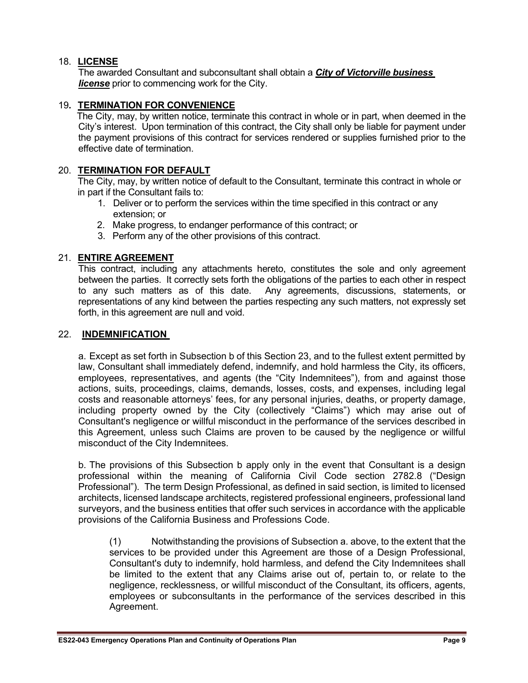#### 18. **LICENSE**

The awarded Consultant and subconsultant shall obtain a *City of Victorville business license* prior to commencing work for the City.

#### 19**. TERMINATION FOR CONVENIENCE**

The City, may, by written notice, terminate this contract in whole or in part, when deemed in the City's interest. Upon termination of this contract, the City shall only be liable for payment under the payment provisions of this contract for services rendered or supplies furnished prior to the effective date of termination.

#### 20. **TERMINATION FOR DEFAULT**

The City, may, by written notice of default to the Consultant, terminate this contract in whole or in part if the Consultant fails to:

- 1. Deliver or to perform the services within the time specified in this contract or any extension; or
- 2. Make progress, to endanger performance of this contract; or
- 3. Perform any of the other provisions of this contract.

#### 21. **ENTIRE AGREEMENT**

This contract, including any attachments hereto, constitutes the sole and only agreement between the parties. It correctly sets forth the obligations of the parties to each other in respect to any such matters as of this date. Any agreements, discussions, statements, or representations of any kind between the parties respecting any such matters, not expressly set forth, in this agreement are null and void.

#### 22. **INDEMNIFICATION**

a. Except as set forth in Subsection b of this Section 23, and to the fullest extent permitted by law, Consultant shall immediately defend, indemnify, and hold harmless the City, its officers, employees, representatives, and agents (the "City Indemnitees"), from and against those actions, suits, proceedings, claims, demands, losses, costs, and expenses, including legal costs and reasonable attorneys' fees, for any personal injuries, deaths, or property damage, including property owned by the City (collectively "Claims") which may arise out of Consultant's negligence or willful misconduct in the performance of the services described in this Agreement, unless such Claims are proven to be caused by the negligence or willful misconduct of the City Indemnitees.

b. The provisions of this Subsection b apply only in the event that Consultant is a design professional within the meaning of California Civil Code section 2782.8 ("Design Professional"). The term Design Professional, as defined in said section, is limited to licensed architects, licensed landscape architects, registered professional engineers, professional land surveyors, and the business entities that offer such services in accordance with the applicable provisions of the California Business and Professions Code.

(1) Notwithstanding the provisions of Subsection a. above, to the extent that the services to be provided under this Agreement are those of a Design Professional, Consultant's duty to indemnify, hold harmless, and defend the City Indemnitees shall be limited to the extent that any Claims arise out of, pertain to, or relate to the negligence, recklessness, or willful misconduct of the Consultant, its officers, agents, employees or subconsultants in the performance of the services described in this Agreement.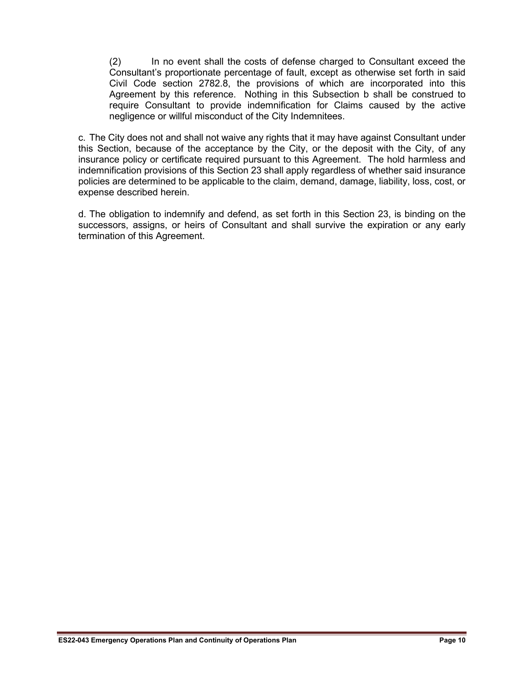(2) In no event shall the costs of defense charged to Consultant exceed the Consultant's proportionate percentage of fault, except as otherwise set forth in said Civil Code section 2782.8, the provisions of which are incorporated into this Agreement by this reference. Nothing in this Subsection b shall be construed to require Consultant to provide indemnification for Claims caused by the active negligence or willful misconduct of the City Indemnitees.

c. The City does not and shall not waive any rights that it may have against Consultant under this Section, because of the acceptance by the City, or the deposit with the City, of any insurance policy or certificate required pursuant to this Agreement. The hold harmless and indemnification provisions of this Section 23 shall apply regardless of whether said insurance policies are determined to be applicable to the claim, demand, damage, liability, loss, cost, or expense described herein.

d. The obligation to indemnify and defend, as set forth in this Section 23, is binding on the successors, assigns, or heirs of Consultant and shall survive the expiration or any early termination of this Agreement.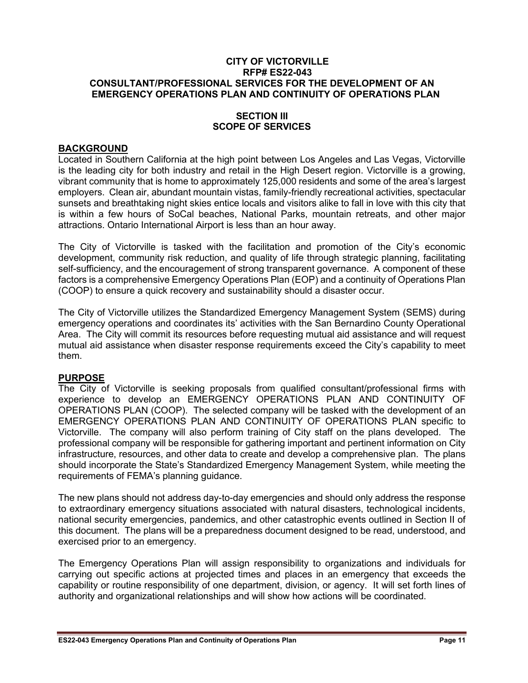#### **SECTION III SCOPE OF SERVICES**

#### **BACKGROUND**

Located in Southern California at the high point between Los Angeles and Las Vegas, Victorville is the leading city for both industry and retail in the High Desert region. Victorville is a growing, vibrant community that is home to approximately 125,000 residents and some of the area's largest employers. Clean air, abundant mountain vistas, family-friendly recreational activities, spectacular sunsets and breathtaking night skies entice locals and visitors alike to fall in love with this city that is within a few hours of SoCal beaches, National Parks, mountain retreats, and other major attractions. Ontario International Airport is less than an hour away.

The City of Victorville is tasked with the facilitation and promotion of the City's economic development, community risk reduction, and quality of life through strategic planning, facilitating self-sufficiency, and the encouragement of strong transparent governance. A component of these factors is a comprehensive Emergency Operations Plan (EOP) and a continuity of Operations Plan (COOP) to ensure a quick recovery and sustainability should a disaster occur.

The City of Victorville utilizes the Standardized Emergency Management System (SEMS) during emergency operations and coordinates its' activities with the San Bernardino County Operational Area. The City will commit its resources before requesting mutual aid assistance and will request mutual aid assistance when disaster response requirements exceed the City's capability to meet them.

#### **PURPOSE**

The City of Victorville is seeking proposals from qualified consultant/professional firms with experience to develop an EMERGENCY OPERATIONS PLAN AND CONTINUITY OF OPERATIONS PLAN (COOP).The selected company will be tasked with the development of an EMERGENCY OPERATIONS PLAN AND CONTINUITY OF OPERATIONS PLAN specific to Victorville. The company will also perform training of City staff on the plans developed. The professional company will be responsible for gathering important and pertinent information on City infrastructure, resources, and other data to create and develop a comprehensive plan. The plans should incorporate the State's Standardized Emergency Management System, while meeting the requirements of FEMA's planning guidance.

The new plans should not address day-to-day emergencies and should only address the response to extraordinary emergency situations associated with natural disasters, technological incidents, national security emergencies, pandemics, and other catastrophic events outlined in Section II of this document. The plans will be a preparedness document designed to be read, understood, and exercised prior to an emergency.

The Emergency Operations Plan will assign responsibility to organizations and individuals for carrying out specific actions at projected times and places in an emergency that exceeds the capability or routine responsibility of one department, division, or agency. It will set forth lines of authority and organizational relationships and will show how actions will be coordinated.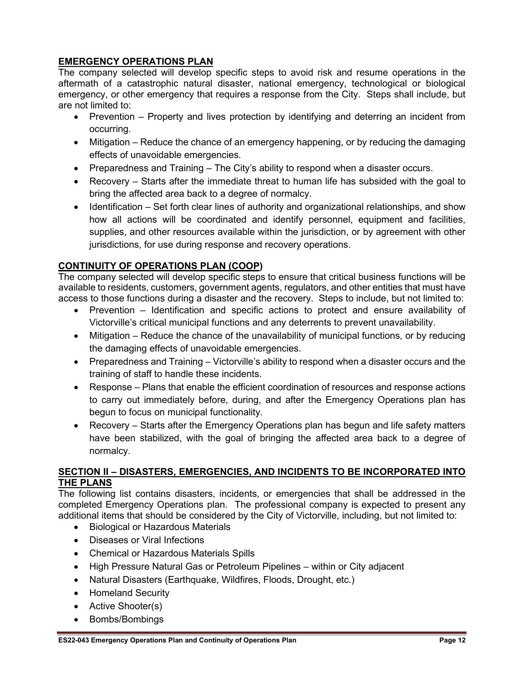#### **EMERGENCY OPERATIONS PLAN**

The company selected will develop specific steps to avoid risk and resume operations in the aftermath of a catastrophic natural disaster, national emergency, technological or biological emergency, or other emergency that requires a response from the City. Steps shall include, but are not limited to:

- Prevention Property and lives protection by identifying and deterring an incident from occurring.
- Mitigation Reduce the chance of an emergency happening, or by reducing the damaging effects of unavoidable emergencies.
- Preparedness and Training The City's ability to respond when a disaster occurs.
- Recovery Starts after the immediate threat to human life has subsided with the goal to bring the affected area back to a degree of normalcy.
- Identification Set forth clear lines of authority and organizational relationships, and show how all actions will be coordinated and identify personnel, equipment and facilities, supplies, and other resources available within the jurisdiction, or by agreement with other jurisdictions, for use during response and recovery operations.

#### **CONTINUITY OF OPERATIONS PLAN (COOP)**

The company selected will develop specific steps to ensure that critical business functions will be available to residents, customers, government agents, regulators, and other entities that must have access to those functions during a disaster and the recovery. Steps to include, but not limited to:

- Prevention Identification and specific actions to protect and ensure availability of Victorville's critical municipal functions and any deterrents to prevent unavailability.
- Mitigation Reduce the chance of the unavailability of municipal functions, or by reducing the damaging effects of unavoidable emergencies.
- Preparedness and Training Victorville's ability to respond when a disaster occurs and the training of staff to handle these incidents.
- Response Plans that enable the efficient coordination of resources and response actions to carry out immediately before, during, and after the Emergency Operations plan has begun to focus on municipal functionality.
- Recovery Starts after the Emergency Operations plan has begun and life safety matters have been stabilized, with the goal of bringing the affected area back to a degree of normalcy.

#### **SECTION II – DISASTERS, EMERGENCIES, AND INCIDENTS TO BE INCORPORATED INTO THE PLANS**

The following list contains disasters, incidents, or emergencies that shall be addressed in the completed Emergency Operations plan. The professional company is expected to present any additional items that should be considered by the City of Victorville, including, but not limited to:

- Biological or Hazardous Materials
- Diseases or Viral Infections
- Chemical or Hazardous Materials Spills
- High Pressure Natural Gas or Petroleum Pipelines within or City adjacent
- Natural Disasters (Earthquake, Wildfires, Floods, Drought, etc.)
- Homeland Security
- Active Shooter(s)
- Bombs/Bombings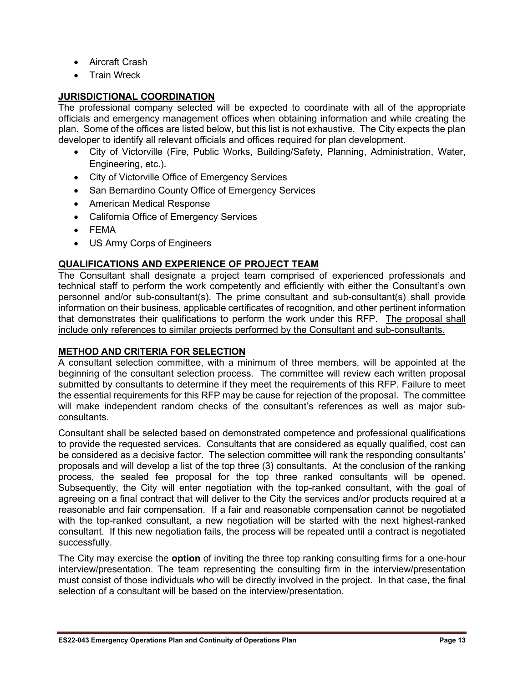- Aircraft Crash
- **Train Wreck**

#### **JURISDICTIONAL COORDINATION**

The professional company selected will be expected to coordinate with all of the appropriate officials and emergency management offices when obtaining information and while creating the plan. Some of the offices are listed below, but this list is not exhaustive. The City expects the plan developer to identify all relevant officials and offices required for plan development.

- City of Victorville (Fire, Public Works, Building/Safety, Planning, Administration, Water, Engineering, etc.).
- City of Victorville Office of Emergency Services
- San Bernardino County Office of Emergency Services
- American Medical Response
- California Office of Emergency Services
- FEMA
- US Army Corps of Engineers

#### **QUALIFICATIONS AND EXPERIENCE OF PROJECT TEAM**

The Consultant shall designate a project team comprised of experienced professionals and technical staff to perform the work competently and efficiently with either the Consultant's own personnel and/or sub-consultant(s). The prime consultant and sub-consultant(s) shall provide information on their business, applicable certificates of recognition, and other pertinent information that demonstrates their qualifications to perform the work under this RFP. The proposal shall include only references to similar projects performed by the Consultant and sub-consultants.

#### **METHOD AND CRITERIA FOR SELECTION**

A consultant selection committee, with a minimum of three members, will be appointed at the beginning of the consultant selection process. The committee will review each written proposal submitted by consultants to determine if they meet the requirements of this RFP. Failure to meet the essential requirements for this RFP may be cause for rejection of the proposal. The committee will make independent random checks of the consultant's references as well as major subconsultants.

Consultant shall be selected based on demonstrated competence and professional qualifications to provide the requested services. Consultants that are considered as equally qualified, cost can be considered as a decisive factor. The selection committee will rank the responding consultants' proposals and will develop a list of the top three (3) consultants. At the conclusion of the ranking process, the sealed fee proposal for the top three ranked consultants will be opened. Subsequently, the City will enter negotiation with the top-ranked consultant, with the goal of agreeing on a final contract that will deliver to the City the services and/or products required at a reasonable and fair compensation. If a fair and reasonable compensation cannot be negotiated with the top-ranked consultant, a new negotiation will be started with the next highest-ranked consultant. If this new negotiation fails, the process will be repeated until a contract is negotiated successfully.

The City may exercise the **option** of inviting the three top ranking consulting firms for a one-hour interview/presentation. The team representing the consulting firm in the interview/presentation must consist of those individuals who will be directly involved in the project. In that case, the final selection of a consultant will be based on the interview/presentation.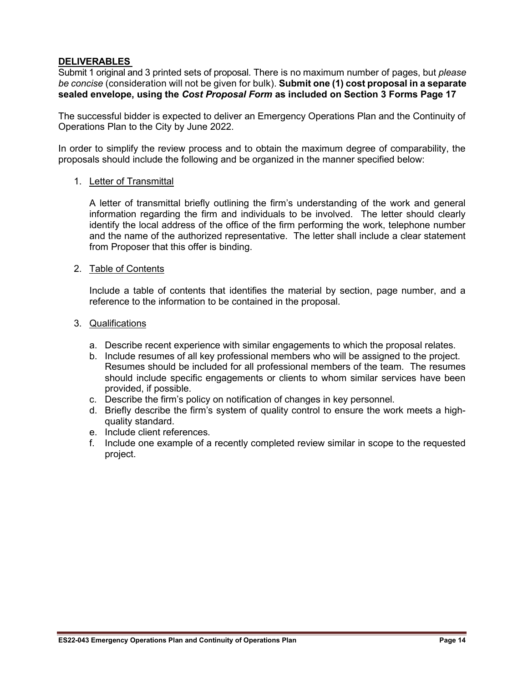#### **DELIVERABLES**

Submit 1 original and 3 printed sets of proposal. There is no maximum number of pages, but *please be concise* (consideration will not be given for bulk). **Submit one (1) cost proposal in a separate sealed envelope, using the** *Cost Proposal Form* **as included on Section 3 Forms Page 17**

The successful bidder is expected to deliver an Emergency Operations Plan and the Continuity of Operations Plan to the City by June 2022.

In order to simplify the review process and to obtain the maximum degree of comparability, the proposals should include the following and be organized in the manner specified below:

#### 1. Letter of Transmittal

A letter of transmittal briefly outlining the firm's understanding of the work and general information regarding the firm and individuals to be involved. The letter should clearly identify the local address of the office of the firm performing the work, telephone number and the name of the authorized representative. The letter shall include a clear statement from Proposer that this offer is binding.

#### 2. Table of Contents

Include a table of contents that identifies the material by section, page number, and a reference to the information to be contained in the proposal.

#### 3. Qualifications

- a. Describe recent experience with similar engagements to which the proposal relates.
- b. Include resumes of all key professional members who will be assigned to the project. Resumes should be included for all professional members of the team. The resumes should include specific engagements or clients to whom similar services have been provided, if possible.
- c. Describe the firm's policy on notification of changes in key personnel.
- d. Briefly describe the firm's system of quality control to ensure the work meets a highquality standard.
- e. Include client references.
- f. Include one example of a recently completed review similar in scope to the requested project.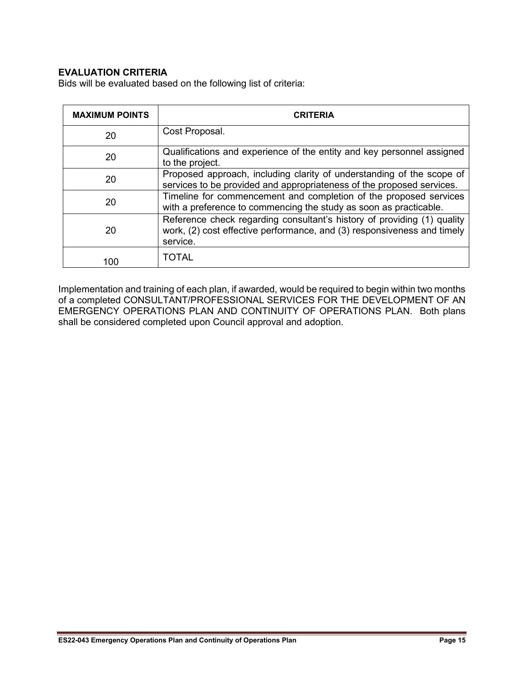#### **EVALUATION CRITERIA**

Bids will be evaluated based on the following list of criteria:

| <b>MAXIMUM POINTS</b> | <b>CRITERIA</b>                                                                                                                                                |
|-----------------------|----------------------------------------------------------------------------------------------------------------------------------------------------------------|
| 20                    | Cost Proposal.                                                                                                                                                 |
| 20                    | Qualifications and experience of the entity and key personnel assigned<br>to the project.                                                                      |
| 20                    | Proposed approach, including clarity of understanding of the scope of<br>services to be provided and appropriateness of the proposed services.                 |
| 20                    | Timeline for commencement and completion of the proposed services<br>with a preference to commencing the study as soon as practicable.                         |
| 20                    | Reference check regarding consultant's history of providing (1) quality<br>work, (2) cost effective performance, and (3) responsiveness and timely<br>service. |
| 100                   | <b>TOTAL</b>                                                                                                                                                   |

Implementation and training of each plan, if awarded, would be required to begin within two months of a completed CONSULTANT/PROFESSIONAL SERVICES FOR THE DEVELOPMENT OF AN EMERGENCY OPERATIONS PLAN AND CONTINUITY OF OPERATIONS PLAN. Both plans shall be considered completed upon Council approval and adoption.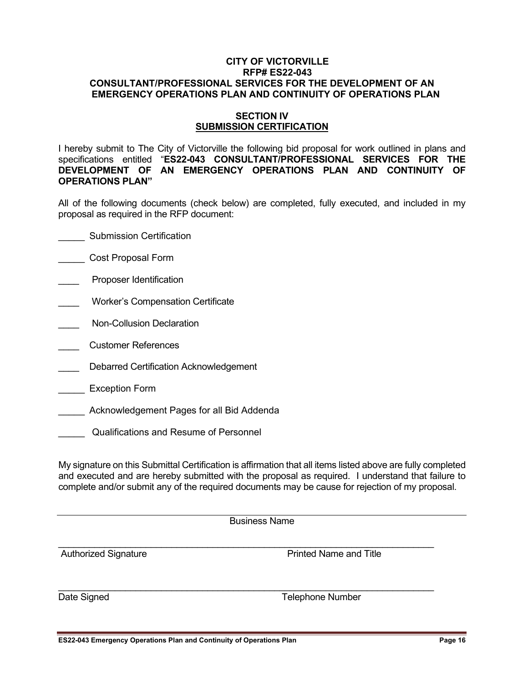#### **SECTION IV SUBMISSION CERTIFICATION**

I hereby submit to The City of Victorville the following bid proposal for work outlined in plans and specifications entitled "**ES22-043 CONSULTANT/PROFESSIONAL SERVICES FOR THE DEVELOPMENT OF AN EMERGENCY OPERATIONS PLAN AND CONTINUITY OF OPERATIONS PLAN"**

All of the following documents (check below) are completed, fully executed, and included in my proposal as required in the RFP document:

- \_\_\_\_\_ Submission Certification
- **LETT** Cost Proposal Form
- Proposer Identification
- \_\_\_\_ Worker's Compensation Certificate
- Non-Collusion Declaration
- \_\_\_\_ Customer References
- Debarred Certification Acknowledgement
- \_\_\_\_\_ Exception Form
- \_\_\_\_\_ Acknowledgement Pages for all Bid Addenda
- \_\_\_\_\_ Qualifications and Resume of Personnel

My signature on this Submittal Certification is affirmation that all items listed above are fully completed and executed and are hereby submitted with the proposal as required. I understand that failure to complete and/or submit any of the required documents may be cause for rejection of my proposal.

| <b>Business Name</b> |  |
|----------------------|--|
|----------------------|--|

\_\_\_\_\_\_\_\_\_\_\_\_\_\_\_\_\_\_\_\_\_\_\_\_\_\_\_\_\_\_\_\_\_\_\_\_\_\_\_\_\_\_\_\_\_\_\_\_\_\_\_\_\_\_\_\_\_\_\_\_\_\_\_\_\_\_\_\_\_\_\_\_\_

\_\_\_\_\_\_\_\_\_\_\_\_\_\_\_\_\_\_\_\_\_\_\_\_\_\_\_\_\_\_\_\_\_\_\_\_\_\_\_\_\_\_\_\_\_\_\_\_\_\_\_\_\_\_\_\_\_\_\_\_\_\_\_\_\_\_\_\_\_\_\_\_\_

Authorized Signature **Authorized Signature Printed Name and Title** 

Date Signed **Telephone Number**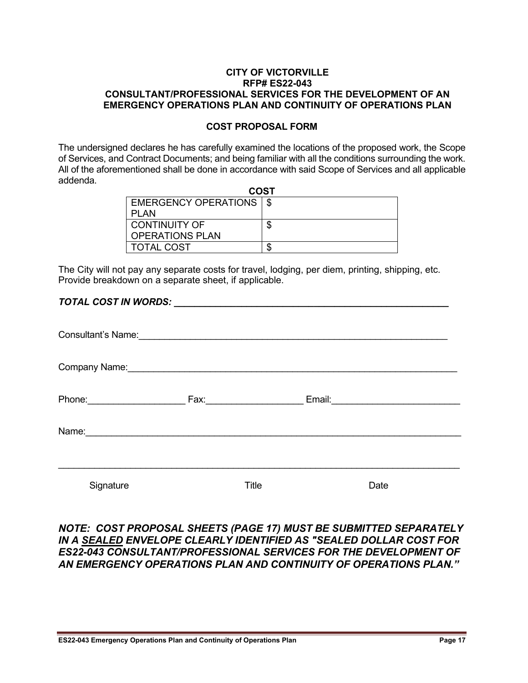#### **COST PROPOSAL FORM**

The undersigned declares he has carefully examined the locations of the proposed work, the Scope of Services, and Contract Documents; and being familiar with all the conditions surrounding the work. All of the aforementioned shall be done in accordance with said Scope of Services and all applicable addenda.

| <b>COST</b>               |  |  |
|---------------------------|--|--|
| EMERGENCY OPERATIONS   \$ |  |  |
| PLAN                      |  |  |
| <b>CONTINUITY OF</b>      |  |  |
| <b>OPERATIONS PLAN</b>    |  |  |
| <b>TOTAL COST</b>         |  |  |

The City will not pay any separate costs for travel, lodging, per diem, printing, shipping, etc. Provide breakdown on a separate sheet, if applicable.

#### *TOTAL COST IN WORDS: \_\_\_\_\_\_\_\_\_\_\_\_\_\_\_\_\_\_\_\_\_\_\_\_\_\_\_\_\_\_\_\_\_\_\_\_\_\_\_\_\_\_\_\_\_\_\_\_\_\_\_\_\_*

| Company Name: Manneletter and the Company Name: |                       |                               |  |
|-------------------------------------------------|-----------------------|-------------------------------|--|
| Phone: ________________                         | Fax: ________________ | Email: ______________________ |  |
| Name:                                           |                       |                               |  |
|                                                 |                       |                               |  |
| Signature                                       | Title                 | Date                          |  |

#### *NOTE: COST PROPOSAL SHEETS (PAGE 17) MUST BE SUBMITTED SEPARATELY IN A SEALED ENVELOPE CLEARLY IDENTIFIED AS "SEALED DOLLAR COST FOR ES22-043 CONSULTANT/PROFESSIONAL SERVICES FOR THE DEVELOPMENT OF AN EMERGENCY OPERATIONS PLAN AND CONTINUITY OF OPERATIONS PLAN."*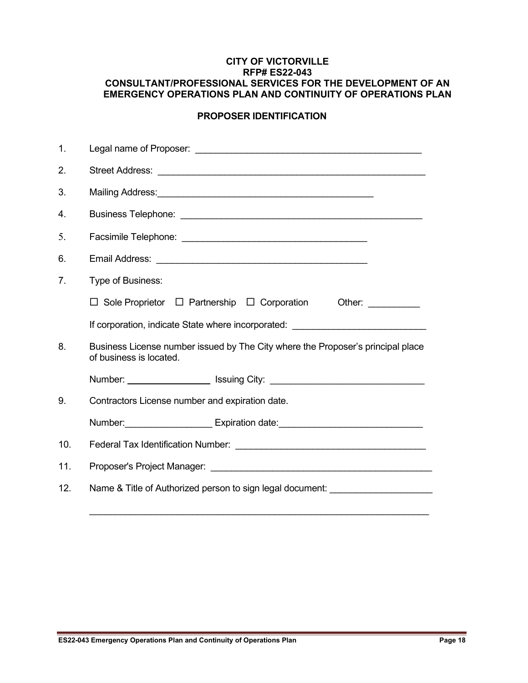#### **PROPOSER IDENTIFICATION**

| 1.  |                                                                                                                 |
|-----|-----------------------------------------------------------------------------------------------------------------|
| 2.  |                                                                                                                 |
| 3.  | Mailing Address: Mail and Mail and Mail and Mail and Mail and Mail and Mail and Mail and Mail and Mail and Mail |
| 4.  |                                                                                                                 |
| 5.  |                                                                                                                 |
| 6.  |                                                                                                                 |
| 7.  | Type of Business:                                                                                               |
|     | $\Box$ Sole Proprietor $\Box$ Partnership $\Box$ Corporation<br>Other: $\qquad \qquad$                          |
|     | If corporation, indicate State where incorporated: _____________________________                                |
| 8.  | Business License number issued by The City where the Proposer's principal place<br>of business is located.      |
|     | Number: _______________________ Issuing City: __________________________________                                |
| 9.  | Contractors License number and expiration date.                                                                 |
|     | Number: Number: Number 2010 Number 2010 Number: Number: Number: Number: Number: Number: Number 2010 Number 201  |
| 10. |                                                                                                                 |
| 11. |                                                                                                                 |
| 12. | Name & Title of Authorized person to sign legal document: ______________________                                |
|     |                                                                                                                 |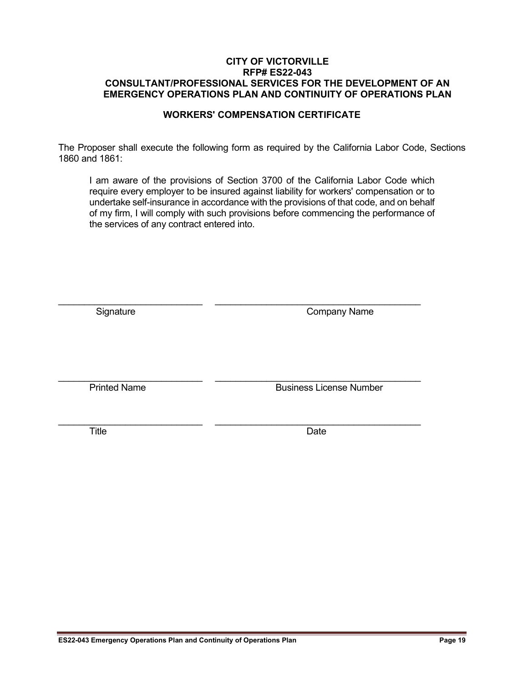#### **WORKERS' COMPENSATION CERTIFICATE**

The Proposer shall execute the following form as required by the California Labor Code, Sections 1860 and 1861:

I am aware of the provisions of Section 3700 of the California Labor Code which require every employer to be insured against liability for workers' compensation or to undertake self-insurance in accordance with the provisions of that code, and on behalf of my firm, I will comply with such provisions before commencing the performance of the services of any contract entered into.

| Signature           | <b>Company Name</b>            |
|---------------------|--------------------------------|
| <b>Printed Name</b> | <b>Business License Number</b> |
| Title               | Date                           |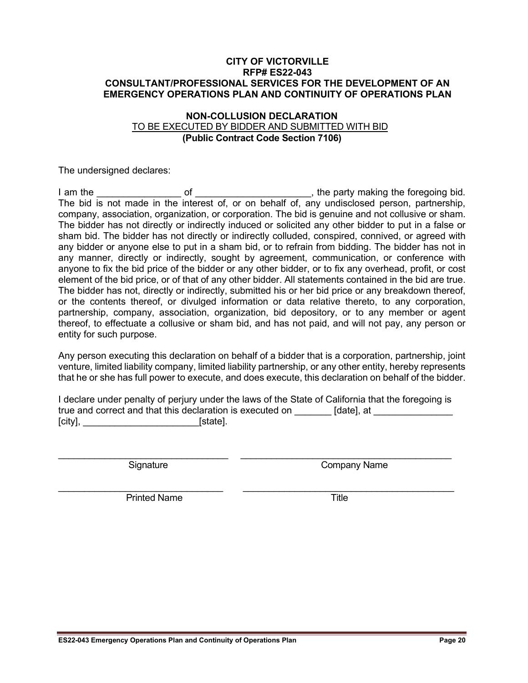#### **NON-COLLUSION DECLARATION** TO BE EXECUTED BY BIDDER AND SUBMITTED WITH BID **(Public Contract Code Section 7106)**

The undersigned declares:

I am the \_\_\_\_\_\_\_\_\_\_\_\_\_\_\_\_ of \_\_\_\_\_\_\_\_\_\_\_\_\_\_\_\_\_\_\_\_\_\_, the party making the foregoing bid. The bid is not made in the interest of, or on behalf of, any undisclosed person, partnership, company, association, organization, or corporation. The bid is genuine and not collusive or sham. The bidder has not directly or indirectly induced or solicited any other bidder to put in a false or sham bid. The bidder has not directly or indirectly colluded, conspired, connived, or agreed with any bidder or anyone else to put in a sham bid, or to refrain from bidding. The bidder has not in any manner, directly or indirectly, sought by agreement, communication, or conference with anyone to fix the bid price of the bidder or any other bidder, or to fix any overhead, profit, or cost element of the bid price, or of that of any other bidder. All statements contained in the bid are true. The bidder has not, directly or indirectly, submitted his or her bid price or any breakdown thereof, or the contents thereof, or divulged information or data relative thereto, to any corporation, partnership, company, association, organization, bid depository, or to any member or agent thereof, to effectuate a collusive or sham bid, and has not paid, and will not pay, any person or entity for such purpose.

Any person executing this declaration on behalf of a bidder that is a corporation, partnership, joint venture, limited liability company, limited liability partnership, or any other entity, hereby represents that he or she has full power to execute, and does execute, this declaration on behalf of the bidder.

I declare under penalty of perjury under the laws of the State of California that the foregoing is true and correct and that this declaration is executed on [date], at [city], **\_\_\_\_\_\_\_\_\_\_\_\_\_\_\_\_\_\_\_\_\_\_\_\_\_\_\_\_\_\_\_** [state].

\_\_\_\_\_\_\_\_\_\_\_\_\_\_\_\_\_\_\_\_\_\_\_\_\_\_\_\_\_\_\_\_\_ \_\_\_\_\_\_\_\_\_\_\_\_\_\_\_\_\_\_\_\_\_\_\_\_\_\_\_\_\_\_\_\_\_\_\_\_\_\_\_\_\_ Signature **Company Name** 

\_\_\_\_\_\_\_\_\_\_\_\_\_\_\_\_\_\_\_\_\_\_\_\_\_\_\_\_\_\_\_\_ \_\_\_\_\_\_\_\_\_\_\_\_\_\_\_\_\_\_\_\_\_\_\_\_\_\_\_\_\_\_\_\_\_\_\_\_\_\_\_\_\_ Printed Name Title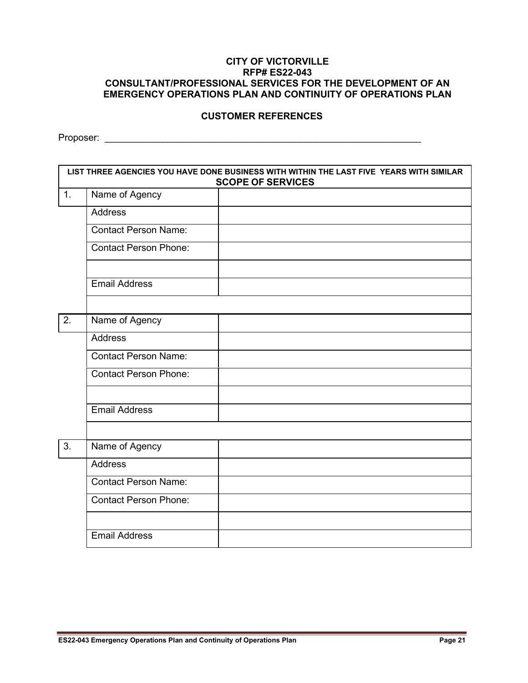#### **CUSTOMER REFERENCES**

Proposer: \_\_\_\_\_\_\_\_\_\_\_\_\_\_\_\_\_\_\_\_\_\_\_\_\_\_\_\_\_\_\_\_\_\_\_\_\_\_\_\_\_\_\_\_\_\_\_\_\_\_\_\_\_\_\_\_\_\_\_\_

|                  | LIST THREE AGENCIES YOU HAVE DONE BUSINESS WITH WITHIN THE LAST FIVE YEARS WITH SIMILAR<br><b>SCOPE OF SERVICES</b> |  |  |
|------------------|---------------------------------------------------------------------------------------------------------------------|--|--|
| 1.               | Name of Agency                                                                                                      |  |  |
|                  | <b>Address</b>                                                                                                      |  |  |
|                  | <b>Contact Person Name:</b>                                                                                         |  |  |
|                  | <b>Contact Person Phone:</b>                                                                                        |  |  |
|                  | <b>Email Address</b>                                                                                                |  |  |
|                  |                                                                                                                     |  |  |
| $\overline{2}$ . | Name of Agency                                                                                                      |  |  |
|                  | <b>Address</b>                                                                                                      |  |  |
|                  | <b>Contact Person Name:</b>                                                                                         |  |  |
|                  | <b>Contact Person Phone:</b>                                                                                        |  |  |
|                  |                                                                                                                     |  |  |
|                  | <b>Email Address</b>                                                                                                |  |  |
|                  |                                                                                                                     |  |  |
| 3.               | Name of Agency                                                                                                      |  |  |
|                  | <b>Address</b>                                                                                                      |  |  |
|                  | <b>Contact Person Name:</b>                                                                                         |  |  |
|                  | <b>Contact Person Phone:</b>                                                                                        |  |  |
|                  |                                                                                                                     |  |  |
|                  | <b>Email Address</b>                                                                                                |  |  |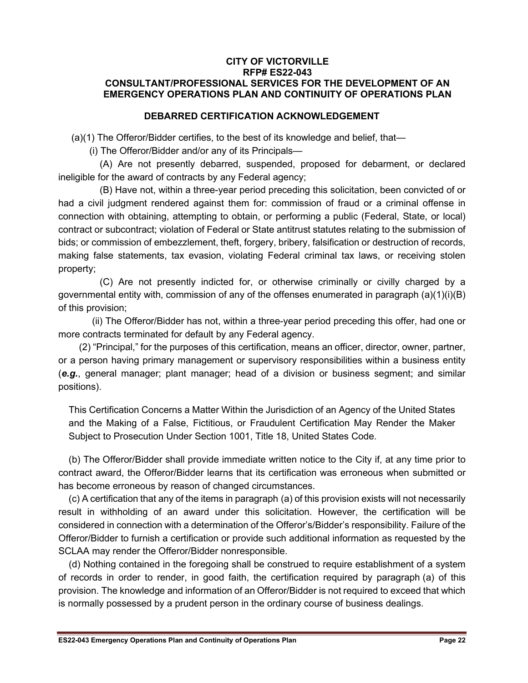#### **DEBARRED CERTIFICATION ACKNOWLEDGEMENT**

(a)(1) The Offeror/Bidder certifies, to the best of its knowledge and belief, that—

(i) The Offeror/Bidder and/or any of its Principals—

(A) Are not presently debarred, suspended, proposed for debarment, or declared ineligible for the award of contracts by any Federal agency;

(B) Have not, within a three-year period preceding this solicitation, been convicted of or had a civil judgment rendered against them for: commission of fraud or a criminal offense in connection with obtaining, attempting to obtain, or performing a public (Federal, State, or local) contract or subcontract; violation of Federal or State antitrust statutes relating to the submission of bids; or commission of embezzlement, theft, forgery, bribery, falsification or destruction of records, making false statements, tax evasion, violating Federal criminal tax laws, or receiving stolen property;

(C) Are not presently indicted for, or otherwise criminally or civilly charged by a governmental entity with, commission of any of the offenses enumerated in paragraph (a)(1)(i)(B) of this provision;

(ii) The Offeror/Bidder has not, within a three-year period preceding this offer, had one or more contracts terminated for default by any Federal agency.

(2) "Principal," for the purposes of this certification, means an officer, director, owner, partner, or a person having primary management or supervisory responsibilities within a business entity (*e.g.*, general manager; plant manager; head of a division or business segment; and similar positions).

This Certification Concerns a Matter Within the Jurisdiction of an Agency of the United States and the Making of a False, Fictitious, or Fraudulent Certification May Render the Maker Subject to Prosecution Under Section 1001, Title 18, United States Code.

(b) The Offeror/Bidder shall provide immediate written notice to the City if, at any time prior to contract award, the Offeror/Bidder learns that its certification was erroneous when submitted or has become erroneous by reason of changed circumstances.

(c) A certification that any of the items in paragraph (a) of this provision exists will not necessarily result in withholding of an award under this solicitation. However, the certification will be considered in connection with a determination of the Offeror's/Bidder's responsibility. Failure of the Offeror/Bidder to furnish a certification or provide such additional information as requested by the SCLAA may render the Offeror/Bidder nonresponsible.

(d) Nothing contained in the foregoing shall be construed to require establishment of a system of records in order to render, in good faith, the certification required by paragraph (a) of this provision. The knowledge and information of an Offeror/Bidder is not required to exceed that which is normally possessed by a prudent person in the ordinary course of business dealings.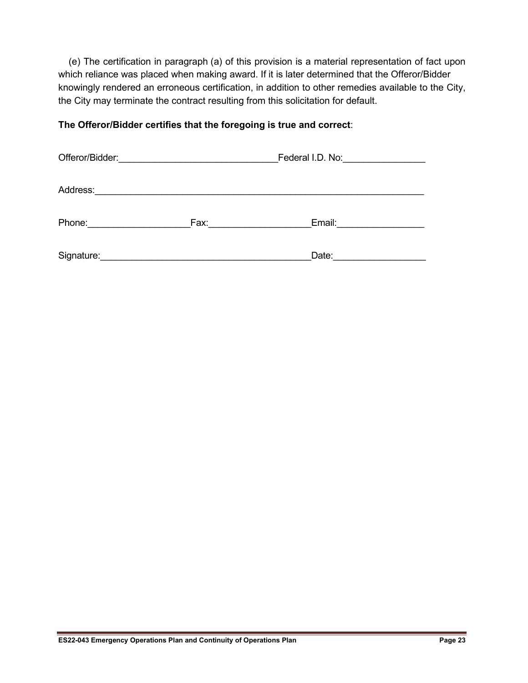(e) The certification in paragraph (a) of this provision is a material representation of fact upon which reliance was placed when making award. If it is later determined that the Offeror/Bidder knowingly rendered an erroneous certification, in addition to other remedies available to the City, the City may terminate the contract resulting from this solicitation for default.

#### **The Offeror/Bidder certifies that the foregoing is true and correct**:

| Offeror/Bidder: |      | Federal I.D. No: |  |
|-----------------|------|------------------|--|
| Address:        |      |                  |  |
| Phone:          | Fax: | Email:           |  |
| Signature:      |      | Date:            |  |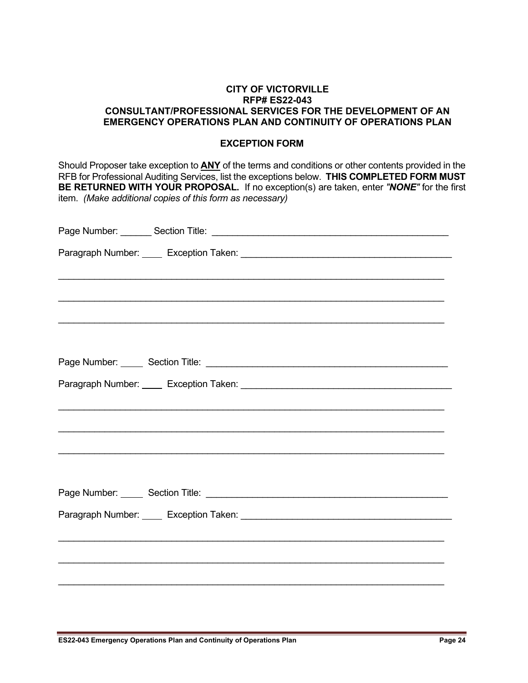#### **EXCEPTION FORM**

Should Proposer take exception to **ANY** of the terms and conditions or other contents provided in the RFB for Professional Auditing Services, list the exceptions below. **THIS COMPLETED FORM MUST BE RETURNED WITH YOUR PROPOSAL.** If no exception(s) are taken, enter *"NONE"* for the first item. *(Make additional copies of this form as necessary)*

| ,我们就会在这里的人,我们就会在这里的人,我们就会在这里的人,我们就会在这里的人,我们就会在这里的人,我们就会在这里的人,我们就会在这里的人,我们就会在这里的人 |
|----------------------------------------------------------------------------------|
|                                                                                  |
|                                                                                  |
|                                                                                  |
|                                                                                  |
|                                                                                  |
|                                                                                  |
|                                                                                  |
|                                                                                  |
|                                                                                  |
|                                                                                  |
|                                                                                  |
|                                                                                  |
|                                                                                  |
|                                                                                  |
|                                                                                  |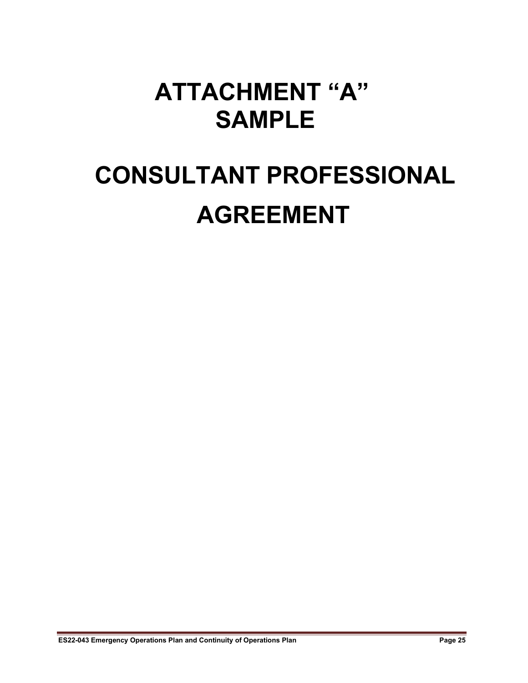## **ATTACHMENT "A" SAMPLE**

# **CONSULTANT PROFESSIONAL AGREEMENT**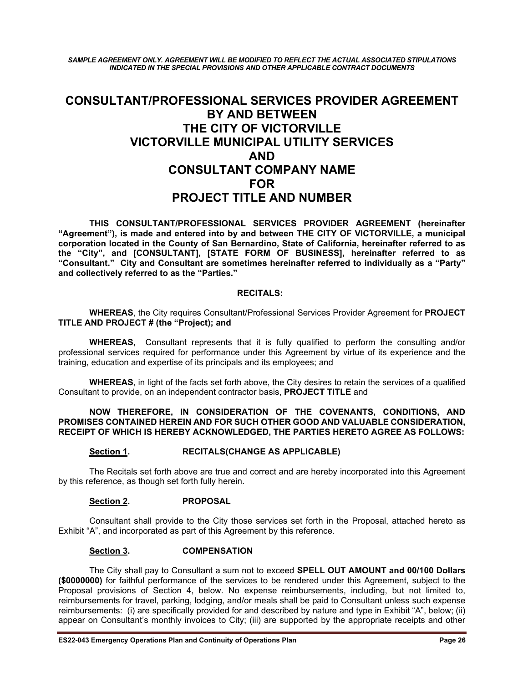*SAMPLE AGREEMENT ONLY. AGREEMENT WILL BE MODIFIED TO REFLECT THE ACTUAL ASSOCIATED STIPULATIONS INDICATED IN THE SPECIAL PROVISIONS AND OTHER APPLICABLE CONTRACT DOCUMENTS*

#### **CONSULTANT/PROFESSIONAL SERVICES PROVIDER AGREEMENT BY AND BETWEEN THE CITY OF VICTORVILLE VICTORVILLE MUNICIPAL UTILITY SERVICES AND CONSULTANT COMPANY NAME FOR PROJECT TITLE AND NUMBER**

**THIS CONSULTANT/PROFESSIONAL SERVICES PROVIDER AGREEMENT (hereinafter "Agreement"), is made and entered into by and between THE CITY OF VICTORVILLE, a municipal corporation located in the County of San Bernardino, State of California, hereinafter referred to as the "City", and [CONSULTANT], [STATE FORM OF BUSINESS], hereinafter referred to as "Consultant." City and Consultant are sometimes hereinafter referred to individually as a "Party" and collectively referred to as the "Parties."**

#### **RECITALS:**

**WHEREAS**, the City requires Consultant/Professional Services Provider Agreement for **PROJECT TITLE AND PROJECT # (the "Project); and**

**WHEREAS,** Consultant represents that it is fully qualified to perform the consulting and/or professional services required for performance under this Agreement by virtue of its experience and the training, education and expertise of its principals and its employees; and

**WHEREAS**, in light of the facts set forth above, the City desires to retain the services of a qualified Consultant to provide, on an independent contractor basis, **PROJECT TITLE** and

#### **NOW THEREFORE, IN CONSIDERATION OF THE COVENANTS, CONDITIONS, AND PROMISES CONTAINED HEREIN AND FOR SUCH OTHER GOOD AND VALUABLE CONSIDERATION, RECEIPT OF WHICH IS HEREBY ACKNOWLEDGED, THE PARTIES HERETO AGREE AS FOLLOWS:**

#### **Section 1. RECITALS(CHANGE AS APPLICABLE)**

The Recitals set forth above are true and correct and are hereby incorporated into this Agreement by this reference, as though set forth fully herein.

#### **Section 2. PROPOSAL**

Consultant shall provide to the City those services set forth in the Proposal, attached hereto as Exhibit "A", and incorporated as part of this Agreement by this reference.

#### **Section 3. COMPENSATION**

The City shall pay to Consultant a sum not to exceed **SPELL OUT AMOUNT and 00/100 Dollars (\$0000000)** for faithful performance of the services to be rendered under this Agreement, subject to the Proposal provisions of Section 4, below. No expense reimbursements, including, but not limited to, reimbursements for travel, parking, lodging, and/or meals shall be paid to Consultant unless such expense reimbursements: (i) are specifically provided for and described by nature and type in Exhibit "A", below; (ii) appear on Consultant's monthly invoices to City; (iii) are supported by the appropriate receipts and other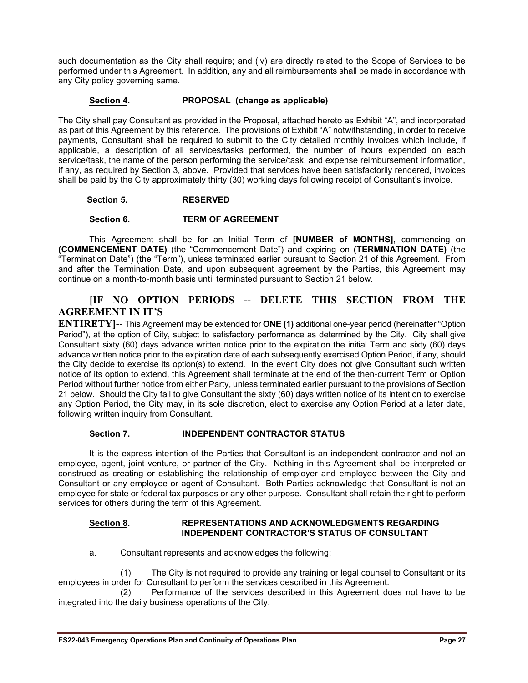such documentation as the City shall require; and (iv) are directly related to the Scope of Services to be performed under this Agreement. In addition, any and all reimbursements shall be made in accordance with any City policy governing same.

#### **Section 4. PROPOSAL (change as applicable)**

The City shall pay Consultant as provided in the Proposal, attached hereto as Exhibit "A", and incorporated as part of this Agreement by this reference. The provisions of Exhibit "A" notwithstanding, in order to receive payments, Consultant shall be required to submit to the City detailed monthly invoices which include, if applicable, a description of all services/tasks performed, the number of hours expended on each service/task, the name of the person performing the service/task, and expense reimbursement information, if any, as required by Section 3, above. Provided that services have been satisfactorily rendered, invoices shall be paid by the City approximately thirty (30) working days following receipt of Consultant's invoice.

#### **Section 5. RESERVED**

#### **Section 6. TERM OF AGREEMENT**

This Agreement shall be for an Initial Term of **[NUMBER of MONTHS],** commencing on **(COMMENCEMENT DATE)** (the "Commencement Date") and expiring on **(TERMINATION DATE)** (the "Termination Date") (the "Term"), unless terminated earlier pursuant to Section 21 of this Agreement. From and after the Termination Date, and upon subsequent agreement by the Parties, this Agreement may continue on a month-to-month basis until terminated pursuant to Section 21 below.

#### **[IF NO OPTION PERIODS -- DELETE THIS SECTION FROM THE AGREEMENT IN IT'S**

**ENTIRETY]**-- This Agreement may be extended for **ONE (1)** additional one-year period (hereinafter "Option Period"), at the option of City, subject to satisfactory performance as determined by the City. City shall give Consultant sixty (60) days advance written notice prior to the expiration the initial Term and sixty (60) days advance written notice prior to the expiration date of each subsequently exercised Option Period, if any, should the City decide to exercise its option(s) to extend. In the event City does not give Consultant such written notice of its option to extend, this Agreement shall terminate at the end of the then-current Term or Option Period without further notice from either Party, unless terminated earlier pursuant to the provisions of Section 21 below. Should the City fail to give Consultant the sixty (60) days written notice of its intention to exercise any Option Period, the City may, in its sole discretion, elect to exercise any Option Period at a later date, following written inquiry from Consultant.

#### **Section 7. INDEPENDENT CONTRACTOR STATUS**

It is the express intention of the Parties that Consultant is an independent contractor and not an employee, agent, joint venture, or partner of the City. Nothing in this Agreement shall be interpreted or construed as creating or establishing the relationship of employer and employee between the City and Consultant or any employee or agent of Consultant. Both Parties acknowledge that Consultant is not an employee for state or federal tax purposes or any other purpose. Consultant shall retain the right to perform services for others during the term of this Agreement.

#### **Section 8. REPRESENTATIONS AND ACKNOWLEDGMENTS REGARDING INDEPENDENT CONTRACTOR'S STATUS OF CONSULTANT**

a. Consultant represents and acknowledges the following:

(1) The City is not required to provide any training or legal counsel to Consultant or its employees in order for Consultant to perform the services described in this Agreement.

(2) Performance of the services described in this Agreement does not have to be integrated into the daily business operations of the City.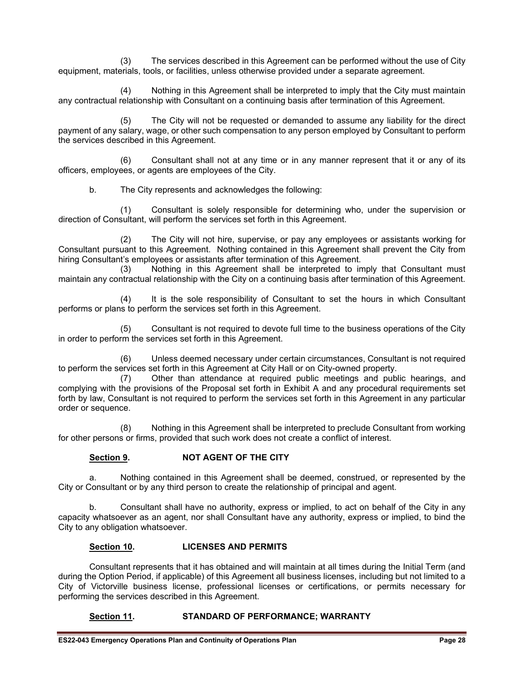(3) The services described in this Agreement can be performed without the use of City equipment, materials, tools, or facilities, unless otherwise provided under a separate agreement.

(4) Nothing in this Agreement shall be interpreted to imply that the City must maintain any contractual relationship with Consultant on a continuing basis after termination of this Agreement.

(5) The City will not be requested or demanded to assume any liability for the direct payment of any salary, wage, or other such compensation to any person employed by Consultant to perform the services described in this Agreement.

(6) Consultant shall not at any time or in any manner represent that it or any of its officers, employees, or agents are employees of the City.

b. The City represents and acknowledges the following:

(1) Consultant is solely responsible for determining who, under the supervision or direction of Consultant, will perform the services set forth in this Agreement.

(2) The City will not hire, supervise, or pay any employees or assistants working for Consultant pursuant to this Agreement. Nothing contained in this Agreement shall prevent the City from hiring Consultant's employees or assistants after termination of this Agreement.

(3) Nothing in this Agreement shall be interpreted to imply that Consultant must maintain any contractual relationship with the City on a continuing basis after termination of this Agreement.

(4) It is the sole responsibility of Consultant to set the hours in which Consultant performs or plans to perform the services set forth in this Agreement.

(5) Consultant is not required to devote full time to the business operations of the City in order to perform the services set forth in this Agreement.

(6) Unless deemed necessary under certain circumstances, Consultant is not required to perform the services set forth in this Agreement at City Hall or on City-owned property.

(7) Other than attendance at required public meetings and public hearings, and complying with the provisions of the Proposal set forth in Exhibit A and any procedural requirements set forth by law, Consultant is not required to perform the services set forth in this Agreement in any particular order or sequence.

(8) Nothing in this Agreement shall be interpreted to preclude Consultant from working for other persons or firms, provided that such work does not create a conflict of interest.

#### **Section 9. NOT AGENT OF THE CITY**

a. Nothing contained in this Agreement shall be deemed, construed, or represented by the City or Consultant or by any third person to create the relationship of principal and agent.

b. Consultant shall have no authority, express or implied, to act on behalf of the City in any capacity whatsoever as an agent, nor shall Consultant have any authority, express or implied, to bind the City to any obligation whatsoever.

#### **Section 10. LICENSES AND PERMITS**

Consultant represents that it has obtained and will maintain at all times during the Initial Term (and during the Option Period, if applicable) of this Agreement all business licenses, including but not limited to a City of Victorville business license, professional licenses or certifications, or permits necessary for performing the services described in this Agreement.

#### **Section 11. STANDARD OF PERFORMANCE; WARRANTY**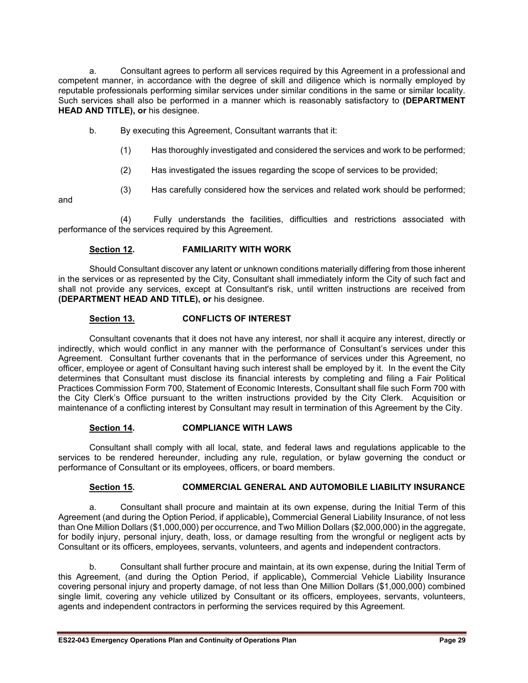a. Consultant agrees to perform all services required by this Agreement in a professional and competent manner, in accordance with the degree of skill and diligence which is normally employed by reputable professionals performing similar services under similar conditions in the same or similar locality. Such services shall also be performed in a manner which is reasonably satisfactory to **(DEPARTMENT HEAD AND TITLE), or** his designee.

b. By executing this Agreement, Consultant warrants that it:

- (1) Has thoroughly investigated and considered the services and work to be performed;
- (2) Has investigated the issues regarding the scope of services to be provided;
- (3) Has carefully considered how the services and related work should be performed;

and

(4) Fully understands the facilities, difficulties and restrictions associated with performance of the services required by this Agreement.

#### **Section 12. FAMILIARITY WITH WORK**

Should Consultant discover any latent or unknown conditions materially differing from those inherent in the services or as represented by the City, Consultant shall immediately inform the City of such fact and shall not provide any services, except at Consultant's risk, until written instructions are received from **(DEPARTMENT HEAD AND TITLE), or** his designee.

#### **Section 13. CONFLICTS OF INTEREST**

Consultant covenants that it does not have any interest, nor shall it acquire any interest, directly or indirectly, which would conflict in any manner with the performance of Consultant's services under this Agreement. Consultant further covenants that in the performance of services under this Agreement, no officer, employee or agent of Consultant having such interest shall be employed by it. In the event the City determines that Consultant must disclose its financial interests by completing and filing a Fair Political Practices Commission Form 700, Statement of Economic Interests, Consultant shall file such Form 700 with the City Clerk's Office pursuant to the written instructions provided by the City Clerk. Acquisition or maintenance of a conflicting interest by Consultant may result in termination of this Agreement by the City.

#### **Section 14. COMPLIANCE WITH LAWS**

Consultant shall comply with all local, state, and federal laws and regulations applicable to the services to be rendered hereunder, including any rule, regulation, or bylaw governing the conduct or performance of Consultant or its employees, officers, or board members.

#### **Section 15. COMMERCIAL GENERAL AND AUTOMOBILE LIABILITY INSURANCE**

a. Consultant shall procure and maintain at its own expense, during the Initial Term of this Agreement (and during the Option Period, if applicable)**,** Commercial General Liability Insurance, of not less than One Million Dollars (\$1,000,000) per occurrence, and Two Million Dollars (\$2,000,000) in the aggregate, for bodily injury, personal injury, death, loss, or damage resulting from the wrongful or negligent acts by Consultant or its officers, employees, servants, volunteers, and agents and independent contractors.

b. Consultant shall further procure and maintain, at its own expense, during the Initial Term of this Agreement, (and during the Option Period, if applicable)**,** Commercial Vehicle Liability Insurance covering personal injury and property damage, of not less than One Million Dollars (\$1,000,000) combined single limit, covering any vehicle utilized by Consultant or its officers, employees, servants, volunteers, agents and independent contractors in performing the services required by this Agreement.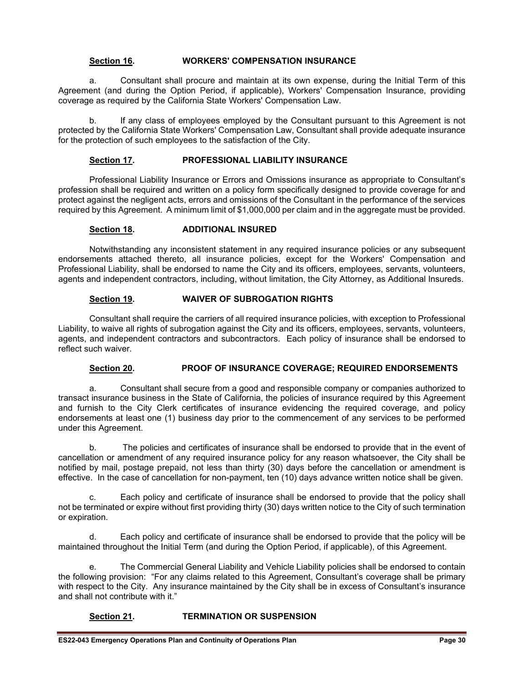#### **Section 16. WORKERS' COMPENSATION INSURANCE**

a. Consultant shall procure and maintain at its own expense, during the Initial Term of this Agreement (and during the Option Period, if applicable), Workers' Compensation Insurance, providing coverage as required by the California State Workers' Compensation Law.

b. If any class of employees employed by the Consultant pursuant to this Agreement is not protected by the California State Workers' Compensation Law, Consultant shall provide adequate insurance for the protection of such employees to the satisfaction of the City.

#### **Section 17. PROFESSIONAL LIABILITY INSURANCE**

Professional Liability Insurance or Errors and Omissions insurance as appropriate to Consultant's profession shall be required and written on a policy form specifically designed to provide coverage for and protect against the negligent acts, errors and omissions of the Consultant in the performance of the services required by this Agreement. A minimum limit of \$1,000,000 per claim and in the aggregate must be provided.

#### **Section 18. ADDITIONAL INSURED**

Notwithstanding any inconsistent statement in any required insurance policies or any subsequent endorsements attached thereto, all insurance policies, except for the Workers' Compensation and Professional Liability, shall be endorsed to name the City and its officers, employees, servants, volunteers, agents and independent contractors, including, without limitation, the City Attorney, as Additional Insureds.

#### **Section 19. WAIVER OF SUBROGATION RIGHTS**

Consultant shall require the carriers of all required insurance policies, with exception to Professional Liability, to waive all rights of subrogation against the City and its officers, employees, servants, volunteers, agents, and independent contractors and subcontractors. Each policy of insurance shall be endorsed to reflect such waiver.

#### **Section 20. PROOF OF INSURANCE COVERAGE; REQUIRED ENDORSEMENTS**

a. Consultant shall secure from a good and responsible company or companies authorized to transact insurance business in the State of California, the policies of insurance required by this Agreement and furnish to the City Clerk certificates of insurance evidencing the required coverage, and policy endorsements at least one (1) business day prior to the commencement of any services to be performed under this Agreement.

b. The policies and certificates of insurance shall be endorsed to provide that in the event of cancellation or amendment of any required insurance policy for any reason whatsoever, the City shall be notified by mail, postage prepaid, not less than thirty (30) days before the cancellation or amendment is effective. In the case of cancellation for non-payment, ten (10) days advance written notice shall be given.

c. Each policy and certificate of insurance shall be endorsed to provide that the policy shall not be terminated or expire without first providing thirty (30) days written notice to the City of such termination or expiration.

d. Each policy and certificate of insurance shall be endorsed to provide that the policy will be maintained throughout the Initial Term (and during the Option Period, if applicable), of this Agreement.

e. The Commercial General Liability and Vehicle Liability policies shall be endorsed to contain the following provision: "For any claims related to this Agreement, Consultant's coverage shall be primary with respect to the City. Any insurance maintained by the City shall be in excess of Consultant's insurance and shall not contribute with it."

#### **Section 21. TERMINATION OR SUSPENSION**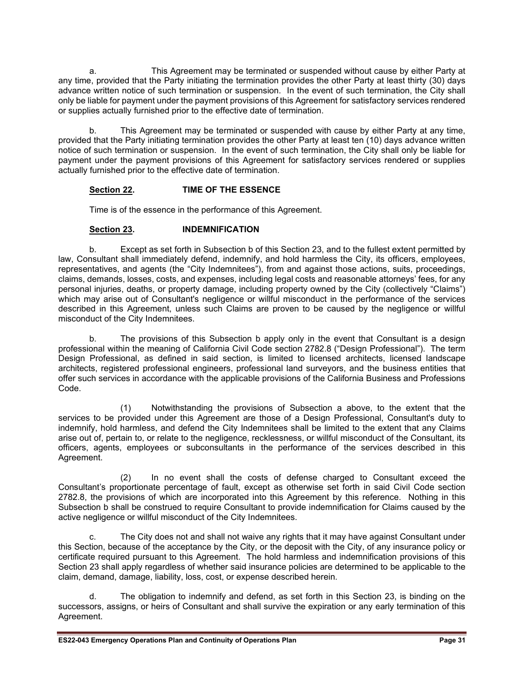a. This Agreement may be terminated or suspended without cause by either Party at any time, provided that the Party initiating the termination provides the other Party at least thirty (30) days advance written notice of such termination or suspension. In the event of such termination, the City shall only be liable for payment under the payment provisions of this Agreement for satisfactory services rendered or supplies actually furnished prior to the effective date of termination.

b. This Agreement may be terminated or suspended with cause by either Party at any time, provided that the Party initiating termination provides the other Party at least ten (10) days advance written notice of such termination or suspension. In the event of such termination, the City shall only be liable for payment under the payment provisions of this Agreement for satisfactory services rendered or supplies actually furnished prior to the effective date of termination.

#### **Section 22. TIME OF THE ESSENCE**

Time is of the essence in the performance of this Agreement.

#### **Section 23. INDEMNIFICATION**

b. Except as set forth in Subsection b of this Section 23, and to the fullest extent permitted by law, Consultant shall immediately defend, indemnify, and hold harmless the City, its officers, employees, representatives, and agents (the "City Indemnitees"), from and against those actions, suits, proceedings, claims, demands, losses, costs, and expenses, including legal costs and reasonable attorneys' fees, for any personal injuries, deaths, or property damage, including property owned by the City (collectively "Claims") which may arise out of Consultant's negligence or willful misconduct in the performance of the services described in this Agreement, unless such Claims are proven to be caused by the negligence or willful misconduct of the City Indemnitees.

b. The provisions of this Subsection b apply only in the event that Consultant is a design professional within the meaning of California Civil Code section 2782.8 ("Design Professional"). The term Design Professional, as defined in said section, is limited to licensed architects, licensed landscape architects, registered professional engineers, professional land surveyors, and the business entities that offer such services in accordance with the applicable provisions of the California Business and Professions Code.

(1) Notwithstanding the provisions of Subsection a above, to the extent that the services to be provided under this Agreement are those of a Design Professional, Consultant's duty to indemnify, hold harmless, and defend the City Indemnitees shall be limited to the extent that any Claims arise out of, pertain to, or relate to the negligence, recklessness, or willful misconduct of the Consultant, its officers, agents, employees or subconsultants in the performance of the services described in this Agreement.

(2) In no event shall the costs of defense charged to Consultant exceed the Consultant's proportionate percentage of fault, except as otherwise set forth in said Civil Code section 2782.8, the provisions of which are incorporated into this Agreement by this reference. Nothing in this Subsection b shall be construed to require Consultant to provide indemnification for Claims caused by the active negligence or willful misconduct of the City Indemnitees.

c. The City does not and shall not waive any rights that it may have against Consultant under this Section, because of the acceptance by the City, or the deposit with the City, of any insurance policy or certificate required pursuant to this Agreement. The hold harmless and indemnification provisions of this Section 23 shall apply regardless of whether said insurance policies are determined to be applicable to the claim, demand, damage, liability, loss, cost, or expense described herein.

d. The obligation to indemnify and defend, as set forth in this Section 23, is binding on the successors, assigns, or heirs of Consultant and shall survive the expiration or any early termination of this Agreement.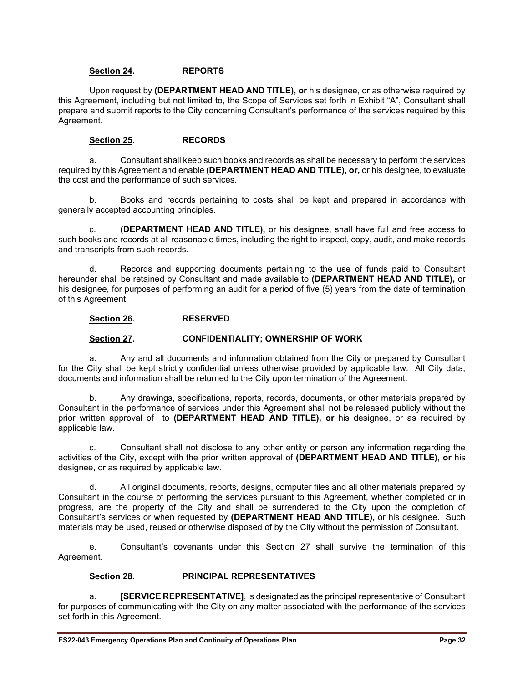#### **Section 24. REPORTS**

Upon request by **(DEPARTMENT HEAD AND TITLE), or** his designee, or as otherwise required by this Agreement, including but not limited to, the Scope of Services set forth in Exhibit "A", Consultant shall prepare and submit reports to the City concerning Consultant's performance of the services required by this Agreement.

#### **Section 25. RECORDS**

a. Consultant shall keep such books and records as shall be necessary to perform the services required by this Agreement and enable **(DEPARTMENT HEAD AND TITLE), or,** or his designee, to evaluate the cost and the performance of such services.

b. Books and records pertaining to costs shall be kept and prepared in accordance with generally accepted accounting principles.

c. **(DEPARTMENT HEAD AND TITLE),** or his designee, shall have full and free access to such books and records at all reasonable times, including the right to inspect, copy, audit, and make records and transcripts from such records.

d. Records and supporting documents pertaining to the use of funds paid to Consultant hereunder shall be retained by Consultant and made available to **(DEPARTMENT HEAD AND TITLE),** or his designee, for purposes of performing an audit for a period of five (5) years from the date of termination of this Agreement.

#### **Section 26. RESERVED**

#### **Section 27. CONFIDENTIALITY; OWNERSHIP OF WORK**

a. Any and all documents and information obtained from the City or prepared by Consultant for the City shall be kept strictly confidential unless otherwise provided by applicable law. All City data, documents and information shall be returned to the City upon termination of the Agreement.

b. Any drawings, specifications, reports, records, documents, or other materials prepared by Consultant in the performance of services under this Agreement shall not be released publicly without the prior written approval of to **(DEPARTMENT HEAD AND TITLE), or** his designee, or as required by applicable law.

c. Consultant shall not disclose to any other entity or person any information regarding the activities of the City, except with the prior written approval of **(DEPARTMENT HEAD AND TITLE), or** his designee, or as required by applicable law.

d. All original documents, reports, designs, computer files and all other materials prepared by Consultant in the course of performing the services pursuant to this Agreement, whether completed or in progress, are the property of the City and shall be surrendered to the City upon the completion of Consultant's services or when requested by **(DEPARTMENT HEAD AND TITLE),** or his designee**.** Such materials may be used, reused or otherwise disposed of by the City without the permission of Consultant.

e. Consultant's covenants under this Section 27 shall survive the termination of this Agreement.

#### **Section 28. PRINCIPAL REPRESENTATIVES**

a. **[SERVICE REPRESENTATIVE]**, is designated as the principal representative of Consultant for purposes of communicating with the City on any matter associated with the performance of the services set forth in this Agreement.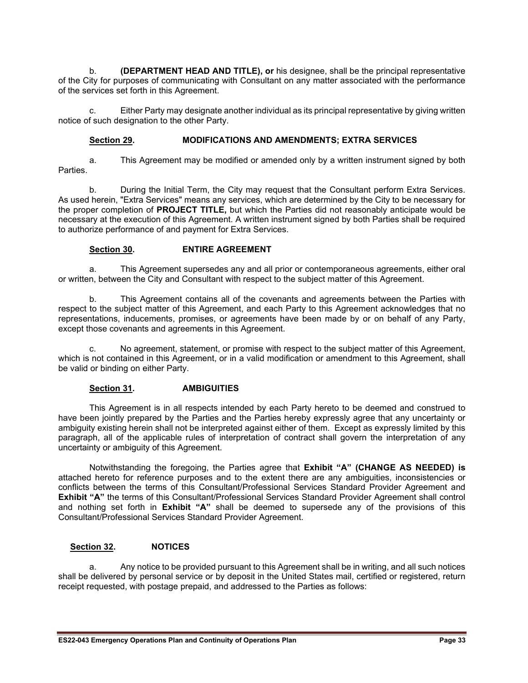b. **(DEPARTMENT HEAD AND TITLE), or** his designee, shall be the principal representative of the City for purposes of communicating with Consultant on any matter associated with the performance of the services set forth in this Agreement.

c. Either Party may designate another individual as its principal representative by giving written notice of such designation to the other Party.

#### **Section 29. MODIFICATIONS AND AMENDMENTS; EXTRA SERVICES**

a. This Agreement may be modified or amended only by a written instrument signed by both Parties.

b. During the Initial Term, the City may request that the Consultant perform Extra Services. As used herein, "Extra Services" means any services, which are determined by the City to be necessary for the proper completion of **PROJECT TITLE,** but which the Parties did not reasonably anticipate would be necessary at the execution of this Agreement. A written instrument signed by both Parties shall be required to authorize performance of and payment for Extra Services.

#### **Section 30. ENTIRE AGREEMENT**

a. This Agreement supersedes any and all prior or contemporaneous agreements, either oral or written, between the City and Consultant with respect to the subject matter of this Agreement.

b. This Agreement contains all of the covenants and agreements between the Parties with respect to the subject matter of this Agreement, and each Party to this Agreement acknowledges that no representations, inducements, promises, or agreements have been made by or on behalf of any Party, except those covenants and agreements in this Agreement.

c. No agreement, statement, or promise with respect to the subject matter of this Agreement, which is not contained in this Agreement, or in a valid modification or amendment to this Agreement, shall be valid or binding on either Party.

#### **Section 31. AMBIGUITIES**

This Agreement is in all respects intended by each Party hereto to be deemed and construed to have been jointly prepared by the Parties and the Parties hereby expressly agree that any uncertainty or ambiguity existing herein shall not be interpreted against either of them. Except as expressly limited by this paragraph, all of the applicable rules of interpretation of contract shall govern the interpretation of any uncertainty or ambiguity of this Agreement.

Notwithstanding the foregoing, the Parties agree that **Exhibit "A" (CHANGE AS NEEDED) is** attached hereto for reference purposes and to the extent there are any ambiguities, inconsistencies or conflicts between the terms of this Consultant/Professional Services Standard Provider Agreement and **Exhibit "A"** the terms of this Consultant/Professional Services Standard Provider Agreement shall control and nothing set forth in **Exhibit "A"** shall be deemed to supersede any of the provisions of this Consultant/Professional Services Standard Provider Agreement.

#### **Section 32. NOTICES**

a. Any notice to be provided pursuant to this Agreement shall be in writing, and all such notices shall be delivered by personal service or by deposit in the United States mail, certified or registered, return receipt requested, with postage prepaid, and addressed to the Parties as follows: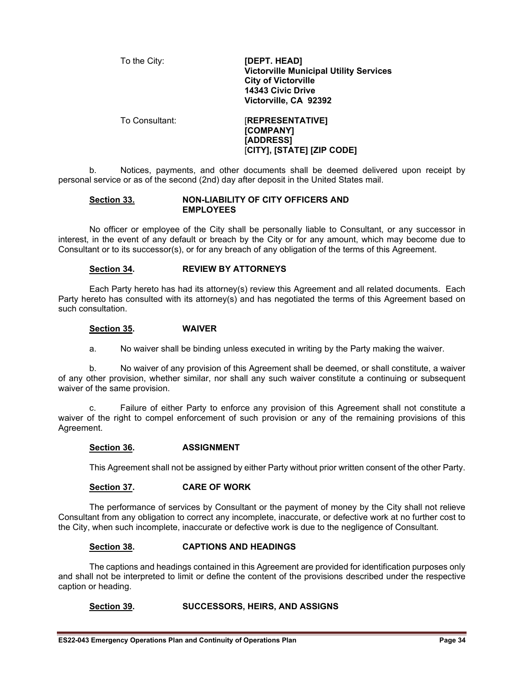| To the City:   | [DEPT. HEAD]<br><b>Victorville Municipal Utility Services</b><br><b>City of Victorville</b><br>14343 Civic Drive<br>Victorville, CA 92392 |
|----------------|-------------------------------------------------------------------------------------------------------------------------------------------|
| To Consultant: | <b>[REPRESENTATIVE]</b><br>[COMPANY]<br>[ADDRESS]                                                                                         |

b. Notices, payments, and other documents shall be deemed delivered upon receipt by personal service or as of the second (2nd) day after deposit in the United States mail.

[**CITY], [STATE] [ZIP CODE]**

#### **Section 33. NON-LIABILITY OF CITY OFFICERS AND EMPLOYEES**

No officer or employee of the City shall be personally liable to Consultant, or any successor in interest, in the event of any default or breach by the City or for any amount, which may become due to Consultant or to its successor(s), or for any breach of any obligation of the terms of this Agreement.

#### **Section 34. REVIEW BY ATTORNEYS**

Each Party hereto has had its attorney(s) review this Agreement and all related documents. Each Party hereto has consulted with its attorney(s) and has negotiated the terms of this Agreement based on such consultation.

#### **Section 35. WAIVER**

a. No waiver shall be binding unless executed in writing by the Party making the waiver.

b. No waiver of any provision of this Agreement shall be deemed, or shall constitute, a waiver of any other provision, whether similar, nor shall any such waiver constitute a continuing or subsequent waiver of the same provision.

c. Failure of either Party to enforce any provision of this Agreement shall not constitute a waiver of the right to compel enforcement of such provision or any of the remaining provisions of this Agreement.

#### **Section 36. ASSIGNMENT**

This Agreement shall not be assigned by either Party without prior written consent of the other Party.

#### **Section 37. CARE OF WORK**

The performance of services by Consultant or the payment of money by the City shall not relieve Consultant from any obligation to correct any incomplete, inaccurate, or defective work at no further cost to the City, when such incomplete, inaccurate or defective work is due to the negligence of Consultant.

#### **Section 38. CAPTIONS AND HEADINGS**

The captions and headings contained in this Agreement are provided for identification purposes only and shall not be interpreted to limit or define the content of the provisions described under the respective caption or heading.

#### **Section 39. SUCCESSORS, HEIRS, AND ASSIGNS**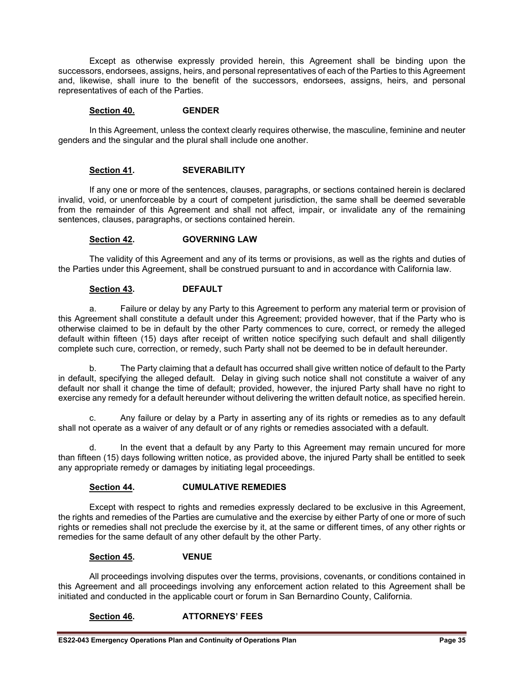Except as otherwise expressly provided herein, this Agreement shall be binding upon the successors, endorsees, assigns, heirs, and personal representatives of each of the Parties to this Agreement and, likewise, shall inure to the benefit of the successors, endorsees, assigns, heirs, and personal representatives of each of the Parties.

#### **Section 40. GENDER**

In this Agreement, unless the context clearly requires otherwise, the masculine, feminine and neuter genders and the singular and the plural shall include one another.

#### **Section 41. SEVERABILITY**

If any one or more of the sentences, clauses, paragraphs, or sections contained herein is declared invalid, void, or unenforceable by a court of competent jurisdiction, the same shall be deemed severable from the remainder of this Agreement and shall not affect, impair, or invalidate any of the remaining sentences, clauses, paragraphs, or sections contained herein.

#### **Section 42. GOVERNING LAW**

The validity of this Agreement and any of its terms or provisions, as well as the rights and duties of the Parties under this Agreement, shall be construed pursuant to and in accordance with California law.

#### **Section 43. DEFAULT**

a. Failure or delay by any Party to this Agreement to perform any material term or provision of this Agreement shall constitute a default under this Agreement; provided however, that if the Party who is otherwise claimed to be in default by the other Party commences to cure, correct, or remedy the alleged default within fifteen (15) days after receipt of written notice specifying such default and shall diligently complete such cure, correction, or remedy, such Party shall not be deemed to be in default hereunder.

b. The Party claiming that a default has occurred shall give written notice of default to the Party in default, specifying the alleged default. Delay in giving such notice shall not constitute a waiver of any default nor shall it change the time of default; provided, however, the injured Party shall have no right to exercise any remedy for a default hereunder without delivering the written default notice, as specified herein.

c. Any failure or delay by a Party in asserting any of its rights or remedies as to any default shall not operate as a waiver of any default or of any rights or remedies associated with a default.

d. In the event that a default by any Party to this Agreement may remain uncured for more than fifteen (15) days following written notice, as provided above, the injured Party shall be entitled to seek any appropriate remedy or damages by initiating legal proceedings.

#### **Section 44. CUMULATIVE REMEDIES**

Except with respect to rights and remedies expressly declared to be exclusive in this Agreement, the rights and remedies of the Parties are cumulative and the exercise by either Party of one or more of such rights or remedies shall not preclude the exercise by it, at the same or different times, of any other rights or remedies for the same default of any other default by the other Party.

#### **Section 45. VENUE**

All proceedings involving disputes over the terms, provisions, covenants, or conditions contained in this Agreement and all proceedings involving any enforcement action related to this Agreement shall be initiated and conducted in the applicable court or forum in San Bernardino County, California.

#### **Section 46. ATTORNEYS' FEES**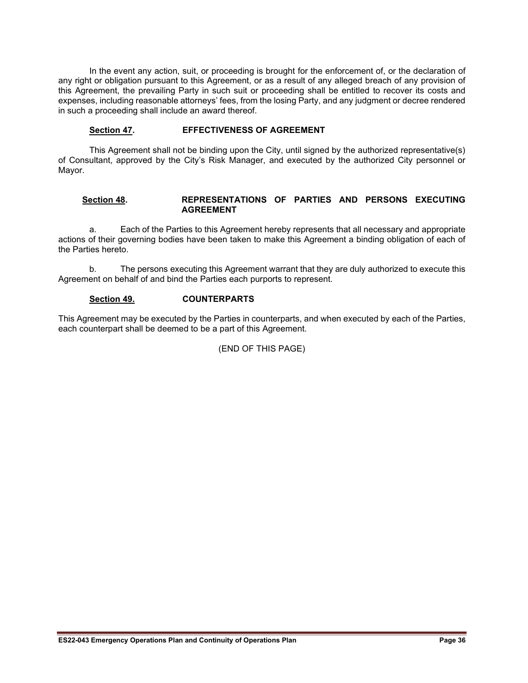In the event any action, suit, or proceeding is brought for the enforcement of, or the declaration of any right or obligation pursuant to this Agreement, or as a result of any alleged breach of any provision of this Agreement, the prevailing Party in such suit or proceeding shall be entitled to recover its costs and expenses, including reasonable attorneys' fees, from the losing Party, and any judgment or decree rendered in such a proceeding shall include an award thereof.

#### **Section 47. EFFECTIVENESS OF AGREEMENT**

This Agreement shall not be binding upon the City, until signed by the authorized representative(s) of Consultant, approved by the City's Risk Manager, and executed by the authorized City personnel or Mayor.

#### **Section 48. REPRESENTATIONS OF PARTIES AND PERSONS EXECUTING AGREEMENT**

a. Each of the Parties to this Agreement hereby represents that all necessary and appropriate actions of their governing bodies have been taken to make this Agreement a binding obligation of each of the Parties hereto.

b. The persons executing this Agreement warrant that they are duly authorized to execute this Agreement on behalf of and bind the Parties each purports to represent.

#### **Section 49. COUNTERPARTS**

This Agreement may be executed by the Parties in counterparts, and when executed by each of the Parties, each counterpart shall be deemed to be a part of this Agreement.

(END OF THIS PAGE)